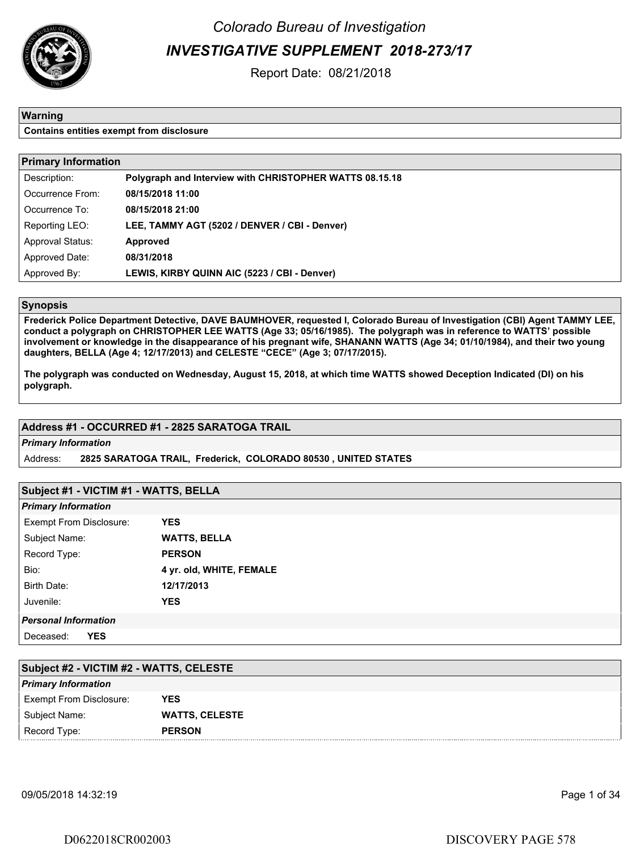

Colorado Bureau of Investigation INVESTIGATIVE SUPPLEMENT 2018-273/17

Report Date: 08/21/2018

#### Warning

Contains entities exempt from disclosure

| <b>Primary Information</b> |                                                         |  |  |  |  |
|----------------------------|---------------------------------------------------------|--|--|--|--|
| Description:               | Polygraph and Interview with CHRISTOPHER WATTS 08.15.18 |  |  |  |  |
| Occurrence From:           | 08/15/2018 11:00                                        |  |  |  |  |
| Occurrence To:             | 08/15/2018 21:00                                        |  |  |  |  |
| Reporting LEO:             | LEE, TAMMY AGT (5202 / DENVER / CBI - Denver)           |  |  |  |  |
| <b>Approval Status:</b>    | <b>Approved</b>                                         |  |  |  |  |
| Approved Date:             | 08/31/2018                                              |  |  |  |  |
| Approved By:               | LEWIS, KIRBY QUINN AIC (5223 / CBI - Denver)            |  |  |  |  |

### Synopsis

Frederick Police Department Detective, DAVE BAUMHOVER, requested I, Colorado Bureau of Investigation (CBI) Agent TAMMY LEE, conduct a polygraph on CHRISTOPHER LEE WATTS (Age 33; 05/16/1985). The polygraph was in reference to WATTS' possible involvement or knowledge in the disappearance of his pregnant wife, SHANANN WATTS (Age 34; 01/10/1984), and their two young daughters, BELLA (Age 4; 12/17/2013) and CELESTE "CECE" (Age 3; 07/17/2015).

The polygraph was conducted on Wednesday, August 15, 2018, at which time WATTS showed Deception Indicated (DI) on his polygraph.

#### Address #1 - OCCURRED #1 - 2825 SARATOGA TRAIL

#### Primary Information

Address: 2825 SARATOGA TRAIL, Frederick, COLORADO 80530 , UNITED STATES

#### Subject #1 - VICTIM #1 - WATTS, BELLA

| <b>Primary Information</b>  |                          |
|-----------------------------|--------------------------|
| Exempt From Disclosure:     | YES                      |
| Subject Name:               | <b>WATTS, BELLA</b>      |
| Record Type:                | <b>PERSON</b>            |
| Bio:                        | 4 yr. old, WHITE, FEMALE |
| <b>Birth Date:</b>          | 12/17/2013               |
| Juvenile:                   | YES                      |
| <b>Personal Information</b> |                          |
| Deceased:<br>YES            |                          |

| Subject #2 - VICTIM #2 - WATTS, CELESTE |                       |  |  |  |  |
|-----------------------------------------|-----------------------|--|--|--|--|
| <b>Primary Information</b>              |                       |  |  |  |  |
| <b>Exempt From Disclosure:</b>          | YES                   |  |  |  |  |
| Subject Name:                           | <b>WATTS, CELESTE</b> |  |  |  |  |
| Record Type:                            | <b>PERSON</b>         |  |  |  |  |

09/05/2018 14:32:19 Page 1 of 34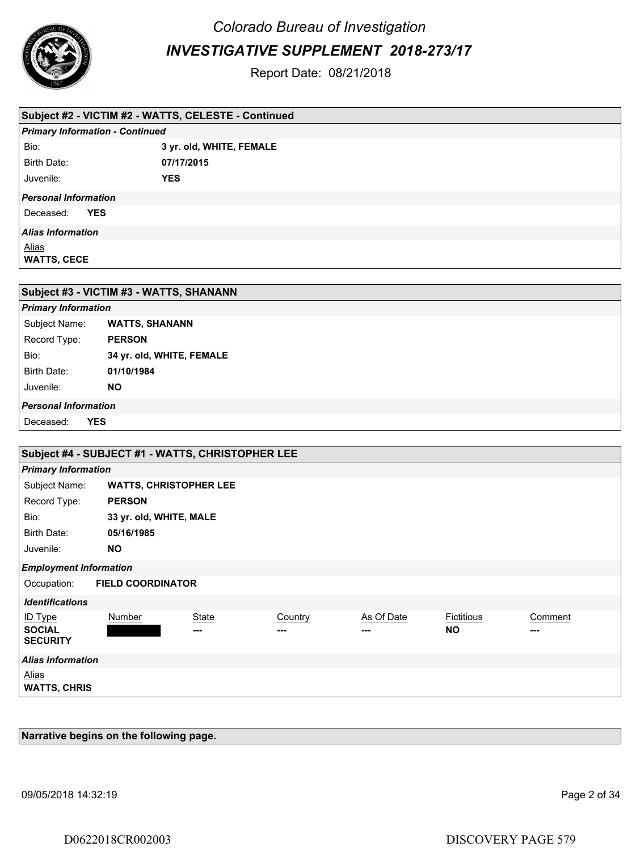

Colorado Bureau of Investigation

INVESTIGATIVE SUPPLEMENT 2018-273/17

Report Date: 08/21/2018

| Subject #2 - VICTIM #2 - WATTS, CELESTE - Continued |                          |  |  |  |  |  |
|-----------------------------------------------------|--------------------------|--|--|--|--|--|
| <b>Primary Information - Continued</b>              |                          |  |  |  |  |  |
| Bio:                                                | 3 yr. old, WHITE, FEMALE |  |  |  |  |  |
| Birth Date:                                         | 07/17/2015               |  |  |  |  |  |
| Juvenile:                                           | <b>YES</b>               |  |  |  |  |  |
| <b>Personal Information</b>                         |                          |  |  |  |  |  |
| <b>YES</b><br>Deceased:                             |                          |  |  |  |  |  |
| <b>Alias Information</b>                            |                          |  |  |  |  |  |
| <u>Alias</u><br><b>WATTS, CECE</b>                  |                          |  |  |  |  |  |
|                                                     |                          |  |  |  |  |  |
| Subject #3 - VICTIM #3 - WATTS SHANANN              |                          |  |  |  |  |  |

| Subject #3 - VICTIM #3 - WATTS, SHANANN |                           |  |  |
|-----------------------------------------|---------------------------|--|--|
| <b>Primary Information</b>              |                           |  |  |
| Subject Name:                           | <b>WATTS, SHANANN</b>     |  |  |
| Record Type:                            | <b>PERSON</b>             |  |  |
| Bio:                                    | 34 yr. old, WHITE, FEMALE |  |  |
| Birth Date:                             | 01/10/1984                |  |  |
| Juvenile:                               | <b>NO</b>                 |  |  |
| <b>Personal Information</b>             |                           |  |  |
| <b>YES</b><br>Deceased:                 |                           |  |  |

| Subject #4 - SUBJECT #1 - WATTS, CHRISTOPHER LEE   |                               |                     |                |            |                                |                |  |  |  |
|----------------------------------------------------|-------------------------------|---------------------|----------------|------------|--------------------------------|----------------|--|--|--|
| <b>Primary Information</b>                         |                               |                     |                |            |                                |                |  |  |  |
| Subject Name:                                      | <b>WATTS, CHRISTOPHER LEE</b> |                     |                |            |                                |                |  |  |  |
| Record Type:                                       | <b>PERSON</b>                 |                     |                |            |                                |                |  |  |  |
| Bio:                                               | 33 yr. old, WHITE, MALE       |                     |                |            |                                |                |  |  |  |
| Birth Date:                                        | 05/16/1985                    |                     |                |            |                                |                |  |  |  |
| Juvenile:                                          | <b>NO</b>                     |                     |                |            |                                |                |  |  |  |
| <b>Employment Information</b>                      |                               |                     |                |            |                                |                |  |  |  |
| Occupation:                                        | <b>FIELD COORDINATOR</b>      |                     |                |            |                                |                |  |  |  |
| <b>Identifications</b>                             |                               |                     |                |            |                                |                |  |  |  |
| <b>ID Type</b><br><b>SOCIAL</b><br><b>SECURITY</b> | Number                        | <b>State</b><br>--- | Country<br>--- | As Of Date | <b>Fictitious</b><br><b>NO</b> | Comment<br>--- |  |  |  |
| <b>Alias Information</b>                           |                               |                     |                |            |                                |                |  |  |  |
| <b>Alias</b><br><b>WATTS, CHRIS</b>                |                               |                     |                |            |                                |                |  |  |  |

Narrative begins on the following page.

09/05/2018 14:32:19 Page 2 of 34

D0622018CR002003 DISCOVERY PAGE 579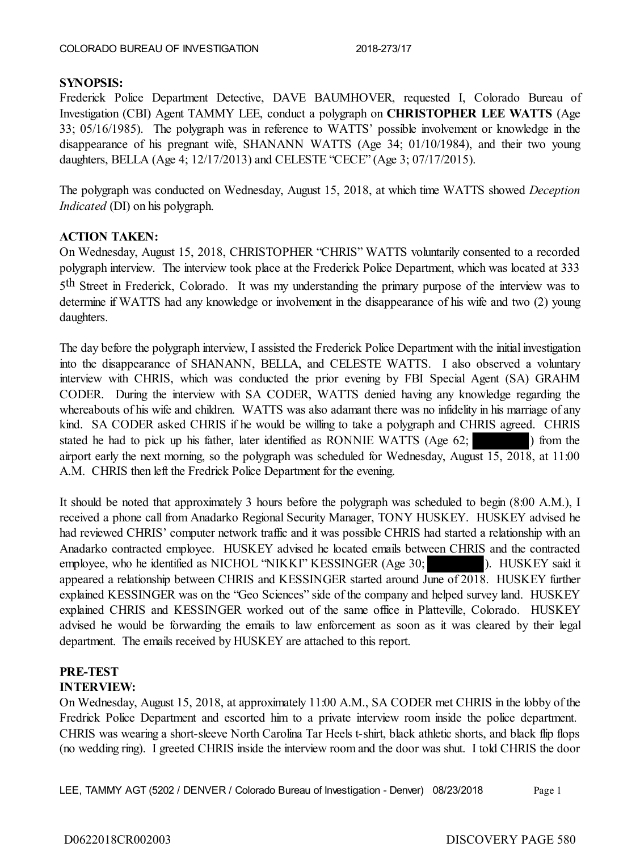# **SYNOPSIS:**

Frederick Police Department Detective, DAVE BAUMHOVER, requested I, Colorado Bureau of Investigation (CBI) Agent TAMMY LEE, conduct a polygraph on **CHRISTOPHER LEE WATTS** (Age 33; 05/16/1985). The polygraph was in reference to WATTS' possible involvement or knowledge in the disappearance of his pregnant wife, SHANANN WATTS (Age 34; 01/10/1984), and their two young daughters, BELLA (Age 4; 12/17/2013) and CELESTE "CECE" (Age 3; 07/17/2015).

The polygraph was conducted on Wednesday, August 15, 2018, at which time WATTS showed *Deception Indicated* (DI) on his polygraph.

# **ACTION TAKEN:**

On Wednesday, August 15, 2018, CHRISTOPHER "CHRIS" WATTS voluntarily consented to a recorded polygraph interview. The interview took place at the Frederick Police Department, which was located at 333 5<sup>th</sup> Street in Frederick, Colorado. It was my understanding the primary purpose of the interview was to determine if WATTS had any knowledge or involvement in the disappearance of his wife and two (2) young daughters.

The day before the polygraph interview, I assisted the Frederick Police Department with the initial investigation into the disappearance of SHANANN, BELLA, and CELESTE WATTS. I also observed a voluntary interview with CHRIS, which was conducted the prior evening by FBI Special Agent (SA) GRAHM CODER. During the interview with SA CODER, WATTS denied having any knowledge regarding the whereabouts of his wife and children. WATTS was also adamant there was no infidelity in his marriage of any kind. SA CODER asked CHRIS if he would be willing to take a polygraph and CHRIS agreed. CHRIS stated he had to pick up his father, later identified as RONNIE WATTS (Age  $62$ ;  $\blacksquare$ ) from the airport early the next morning, so the polygraph was scheduled for Wednesday, August 15, 2018, at 11:00 A.M. CHRIS then left the Fredrick Police Department for the evening.

It should be noted that approximately 3 hours before the polygraph was scheduled to begin (8:00 A.M.), I received a phone call from Anadarko Regional Security Manager, TONY HUSKEY. HUSKEY advised he had reviewed CHRIS' computer network traffic and it was possible CHRIS had started a relationship with an Anadarko contracted employee. HUSKEY advised he located emails between CHRIS and the contracted employee, who he identified as NICHOL "NIKKI" KESSINGER (Age 30; ). HUSKEY said it appeared a relationship between CHRIS and KESSINGER started around June of 2018. HUSKEY further explained KESSINGER was on the "Geo Sciences" side of the company and helped survey land. HUSKEY explained CHRIS and KESSINGER worked out of the same office in Platteville, Colorado. HUSKEY advised he would be forwarding the emails to law enforcement as soon as it was cleared by their legal department. The emails received by HUSKEY are attached to this report.

### **PRE-TEST INTERVIEW:**

On Wednesday, August 15, 2018, at approximately 11:00 A.M., SA CODER met CHRIS in the lobby of the Fredrick Police Department and escorted him to a private interview room inside the police department. CHRIS was wearing a short-sleeve North Carolina Tar Heels t-shirt, black athletic shorts, and black flip flops (no wedding ring). I greeted CHRIS inside the interview room and the door was shut. I told CHRIS the door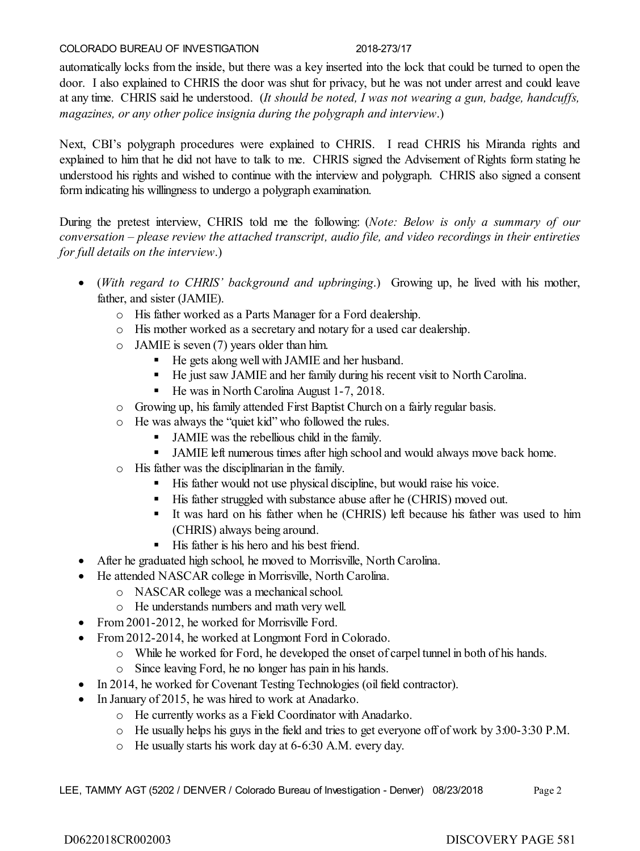automatically locks from the inside, but there was a key inserted into the lock that could be turned to open the door. I also explained to CHRIS the door was shut for privacy, but he was not under arrest and could leave at any time. CHRIS said he understood. (*It should be noted, I was not wearing a gun, badge, handcuffs, magazines, or any other police insignia during the polygraph and interview*.)

Next, CBI's polygraph procedures were explained to CHRIS. I read CHRIS his Miranda rights and explained to him that he did not have to talk to me. CHRIS signed the Advisement of Rights form stating he understood his rights and wished to continue with the interview and polygraph. CHRIS also signed a consent form indicating his willingness to undergo a polygraph examination.

During the pretest interview, CHRIS told me the following: (*Note: Below is only a summary of our conversation – please review the attached transcript, audio file, and video recordings in their entireties for full details on the interview*.)

- (*With regard to CHRIS' background and upbringing*.) Growing up, he lived with his mother, father, and sister (JAMIE).
	- o His father worked as a Parts Manager for a Ford dealership.
	- o His mother worked as a secretary and notary for a used car dealership.
	- o JAMIE is seven (7) years older than him.
		- He gets along well with JAMIE and her husband.
		- He just saw JAMIE and her family during his recent visit to North Carolina.
		- $\blacksquare$  He was in North Carolina August 1-7, 2018.
	- o Growing up, his family attended First Baptist Church on a fairly regular basis.
	- o He was always the "quiet kid" who followed the rules.
		- JAMIE was the rebellious child in the family.
		- JAMIE left numerous times after high school and would always move back home.
	- o His father was the disciplinarian in the family.
		- His father would not use physical discipline, but would raise his voice.
		- His father struggled with substance abuse after he (CHRIS) moved out.
		- It was hard on his father when he (CHRIS) left because his father was used to him (CHRIS) always being around.
		- $\blacksquare$  His father is his hero and his best friend.
- After he graduated high school, he moved to Morrisville, North Carolina.
- He attended NASCAR college in Morrisville, North Carolina.
	- o NASCAR college was a mechanical school.
	- o He understands numbers and math very well.
- From 2001-2012, he worked for Morrisville Ford.
- From 2012-2014, he worked at Longmont Ford in Colorado.
	- o While he worked for Ford, he developed the onset of carpel tunnel in both of his hands.
	- o Since leaving Ford, he no longer has pain in his hands.
- In 2014, he worked for Covenant Testing Technologies (oil field contractor).
- In January of 2015, he was hired to work at Anadarko.
	- o He currently works as a Field Coordinator with Anadarko.
	- o He usually helps his guys in the field and tries to get everyone off of work by 3:00-3:30 P.M.
	- o He usually starts his work day at 6-6:30 A.M. every day.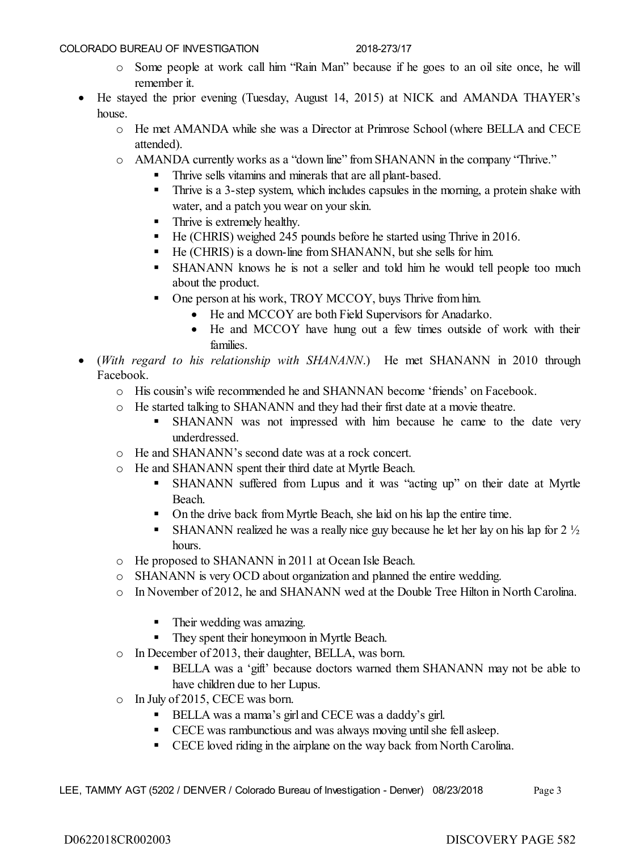- o Some people at work call him "Rain Man" because if he goes to an oil site once, he will remember it.
- He stayed the prior evening (Tuesday, August 14, 2015) at NICK and AMANDA THAYER's house.
	- o He met AMANDA while she was a Director at Primrose School (where BELLA and CECE attended).
	- o AMANDA currently works as a "down line" from SHANANN in the company "Thrive."
		- Thrive sells vitamins and minerals that are all plant-based.
		- Thrive is a 3-step system, which includes capsules in the morning, a protein shake with water, and a patch you wear on your skin.
		- **Thrive is extremely healthy.**
		- He (CHRIS) weighed 245 pounds before he started using Thrive in 2016.
		- He (CHRIS) is a down-line from SHANANN, but she sells for him.
		- SHANANN knows he is not a seller and told him he would tell people too much about the product.
		- One person at his work, TROY MCCOY, buys Thrive from him.
			- He and MCCOY are both Field Supervisors for Anadarko.
			- He and MCCOY have hung out a few times outside of work with their families.
- (*With regard to his relationship with SHANANN*.) He met SHANANN in 2010 through Facebook.
	- o His cousin's wife recommended he and SHANNAN become 'friends' on Facebook.
	- o He started talking to SHANANN and they had their first date at a movie theatre.
		- SHANANN was not impressed with him because he came to the date very underdressed.
	- o He and SHANANN's second date was at a rock concert.
	- o He and SHANANN spent their third date at Myrtle Beach.
		- SHANANN suffered from Lupus and it was "acting up" on their date at Myrtle Beach.
		- On the drive back from Myrtle Beach, she laid on his lap the entire time.
		- SHANANN realized he was a really nice guy because he let her lay on his lap for  $2\frac{1}{2}$ hours.
	- o He proposed to SHANANN in 2011 at Ocean Isle Beach.
	- o SHANANN is very OCD about organization and planned the entire wedding.
	- o In November of 2012, he and SHANANN wed at the Double Tree Hilton in North Carolina.
		- **Their wedding was amazing.**
		- They spent their honeymoon in Myrtle Beach.
	- o In December of 2013, their daughter, BELLA, was born.
		- BELLA was a 'gift' because doctors warned them SHANANN may not be able to have children due to her Lupus.
	- o In July of 2015, CECE was born.
		- **BELLA** was a mama's girl and CECE was a daddy's girl.
		- CECE was rambunctious and was always moving until she fell asleep.
		- CECE loved riding in the airplane on the way back from North Carolina.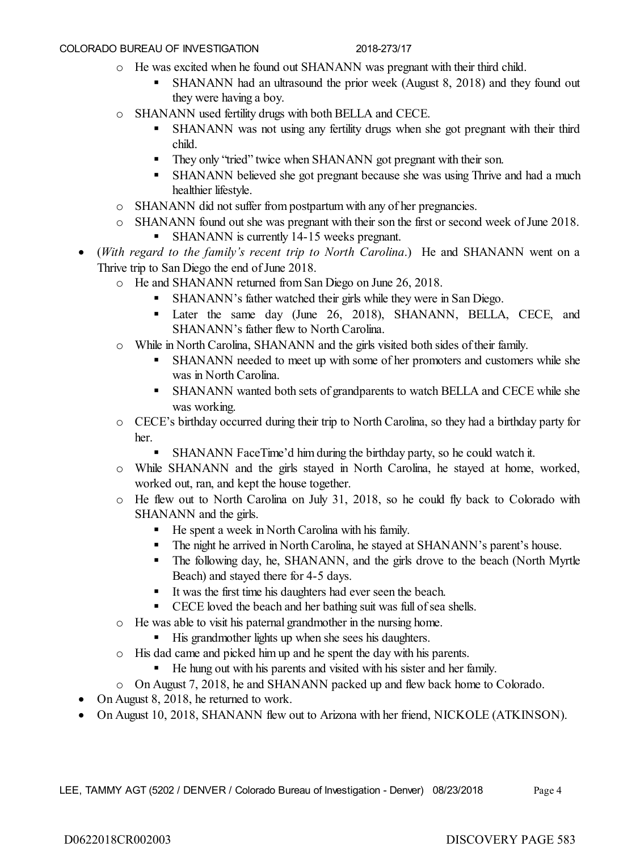- o He was excited when he found out SHANANN was pregnant with their third child.
	- SHANANN had an ultrasound the prior week (August 8, 2018) and they found out they were having a boy.
- o SHANANN used fertility drugs with both BELLA and CECE.
	- SHANANN was not using any fertility drugs when she got pregnant with their third child.
	- They only "tried" twice when SHANANN got pregnant with their son.
	- **SHANANN** believed she got pregnant because she was using Thrive and had a much healthier lifestyle.
- o SHANANN did not suffer from postpartum with any of her pregnancies.
- o SHANANN found out she was pregnant with their son the first or second week of June 2018.
	- SHANANN is currently 14-15 weeks pregnant.
- (*With regard to the family's recent trip to North Carolina*.) He and SHANANN went on a Thrive trip to San Diego the end of June 2018.
	- o He and SHANANN returned from San Diego on June 26, 2018.
		- SHANANN's father watched their girls while they were in San Diego.
		- Later the same day (June 26, 2018), SHANANN, BELLA, CECE, and SHANANN's father flew to North Carolina.
	- o While in North Carolina, SHANANN and the girls visited both sides of their family.
		- SHANANN needed to meet up with some of her promoters and customers while she was in North Carolina.
		- SHANANN wanted both sets of grandparents to watch BELLA and CECE while she was working.
	- o CECE's birthday occurred during their trip to North Carolina, so they had a birthday party for her.
		- SHANANN FaceTime'd him during the birthday party, so he could watch it.
	- o While SHANANN and the girls stayed in North Carolina, he stayed at home, worked, worked out, ran, and kept the house together.
	- o He flew out to North Carolina on July 31, 2018, so he could fly back to Colorado with SHANANN and the girls.
		- He spent a week in North Carolina with his family.
		- The night he arrived in North Carolina, he stayed at SHANANN's parent's house.
		- The following day, he, SHANANN, and the girls drove to the beach (North Myrtle Beach) and stayed there for 4-5 days.
		- It was the first time his daughters had ever seen the beach.
		- CECE loved the beach and her bathing suit was full of sea shells.
	- o He was able to visit his paternal grandmother in the nursing home.
		- His grandmother lights up when she sees his daughters.
	- o His dad came and picked him up and he spent the day with his parents.
		- He hung out with his parents and visited with his sister and her family.
	- o On August 7, 2018, he and SHANANN packed up and flew back home to Colorado.
- On August 8, 2018, he returned to work.
- On August 10, 2018, SHANANN flew out to Arizona with her friend, NICKOLE (ATKINSON).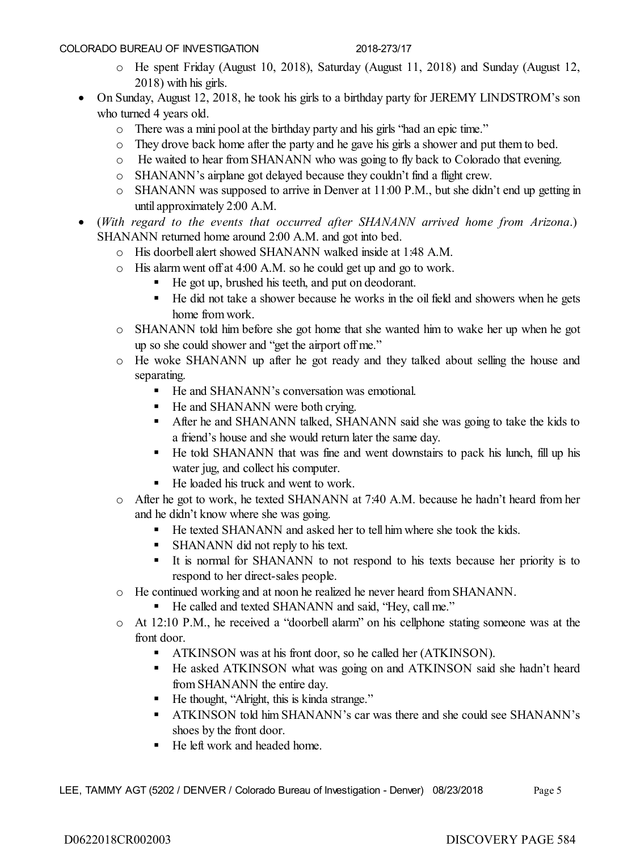- o He spent Friday (August 10, 2018), Saturday (August 11, 2018) and Sunday (August 12, 2018) with his girls.
- On Sunday, August 12, 2018, he took his girls to a birthday party for JEREMY LINDSTROM's son who turned 4 years old.
	- o There was a mini pool at the birthday party and his girls "had an epic time."
	- o They drove back home after the party and he gave his girls a shower and put them to bed.
	- o He waited to hear from SHANANN who was going to fly back to Colorado that evening.
	- o SHANANN's airplane got delayed because they couldn't find a flight crew.
	- o SHANANN was supposed to arrive in Denver at 11:00 P.M., but she didn't end up getting in until approximately 2:00 A.M.
- (*With regard to the events that occurred after SHANANN arrived home from Arizona*.) SHANANN returned home around 2:00 A.M. and got into bed.
	- o His doorbell alert showed SHANANN walked inside at 1:48 A.M.
	- o His alarm went off at 4:00 A.M. so he could get up and go to work.
		- He got up, brushed his teeth, and put on deodorant.
		- He did not take a shower because he works in the oil field and showers when he gets home from work.
	- o SHANANN told him before she got home that she wanted him to wake her up when he got up so she could shower and "get the airport off me."
	- o He woke SHANANN up after he got ready and they talked about selling the house and separating.
		- He and SHANANN's conversation was emotional.
		- He and SHANANN were both crying.
		- After he and SHANANN talked, SHANANN said she was going to take the kids to a friend's house and she would return later the same day.
		- He told SHANANN that was fine and went downstairs to pack his lunch, fill up his water jug, and collect his computer.
		- He loaded his truck and went to work.
	- o After he got to work, he texted SHANANN at 7:40 A.M. because he hadn't heard from her and he didn't know where she was going.
		- He texted SHANANN and asked her to tell him where she took the kids.
		- **SHANANN** did not reply to his text.
		- It is normal for SHANANN to not respond to his texts because her priority is to respond to her direct-sales people.
	- o He continued working and at noon he realized he never heard from SHANANN.
		- He called and texted SHANANN and said, "Hey, call me."
	- o At 12:10 P.M., he received a "doorbell alarm" on his cellphone stating someone was at the front door.
		- **ATKINSON** was at his front door, so he called her (ATKINSON).
		- He asked ATKINSON what was going on and ATKINSON said she hadn't heard from SHANANN the entire day.
		- He thought, "Alright, this is kinda strange."
		- ATKINSON told him SHANANN's car was there and she could see SHANANN's shoes by the front door.
		- He left work and headed home.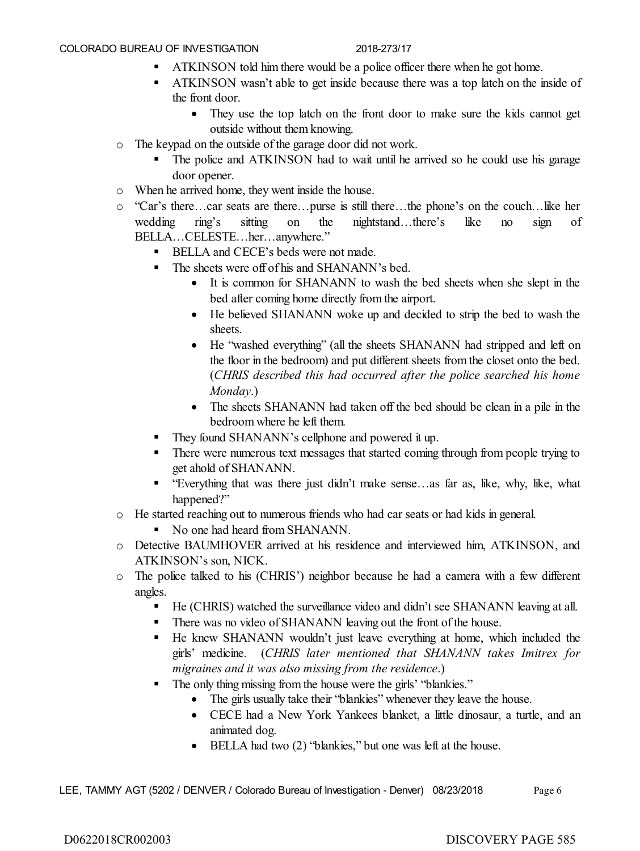- **THE ATKINSON** told him there would be a police officer there when he got home.
- ATKINSON wasn't able to get inside because there was a top latch on the inside of the front door.
	- They use the top latch on the front door to make sure the kids cannot get outside without them knowing.
- o The keypad on the outside of the garage door did not work.
	- The police and ATKINSON had to wait until he arrived so he could use his garage door opener.
- o When he arrived home, they went inside the house.
- o "Car's there…car seats are there…purse is still there…the phone's on the couch…like her wedding ring's sitting on the nightstand…there's like no sign of BELLA…CELESTE…her…anywhere."
	- **BELLA and CECE's beds were not made.**
	- The sheets were off of his and SHANANN's bed.
		- It is common for SHANANN to wash the bed sheets when she slept in the bed after coming home directly from the airport.
		- He believed SHANANN woke up and decided to strip the bed to wash the sheets.
		- He "washed everything" (all the sheets SHANANN had stripped and left on the floor in the bedroom) and put different sheets from the closet onto the bed. (*CHRIS described this had occurred after the police searched his home Monday*.)
		- The sheets SHANANN had taken off the bed should be clean in a pile in the bedroom where he left them.
	- They found SHANANN's cellphone and powered it up.
	- **There were numerous text messages that started coming through from people trying to** get ahold of SHANANN.
	- "Everything that was there just didn't make sense…as far as, like, why, like, what happened?"
- o He started reaching out to numerous friends who had car seats or had kids in general.
	- No one had heard from SHANANN.
- o Detective BAUMHOVER arrived at his residence and interviewed him, ATKINSON, and ATKINSON's son, NICK.
- o The police talked to his (CHRIS') neighbor because he had a camera with a few different angles.
	- He (CHRIS) watched the surveillance video and didn't see SHANANN leaving at all.
	- There was no video of SHANANN leaving out the front of the house.
	- He knew SHANANN wouldn't just leave everything at home, which included the girls' medicine. (*CHRIS later mentioned that SHANANN takes Imitrex for migraines and it was also missing from the residence*.)
	- The only thing missing from the house were the girls' "blankies."
		- The girls usually take their "blankies" whenever they leave the house.
		- CECE had a New York Yankees blanket, a little dinosaur, a turtle, and an animated dog.
		- BELLA had two (2) "blankies," but one was left at the house.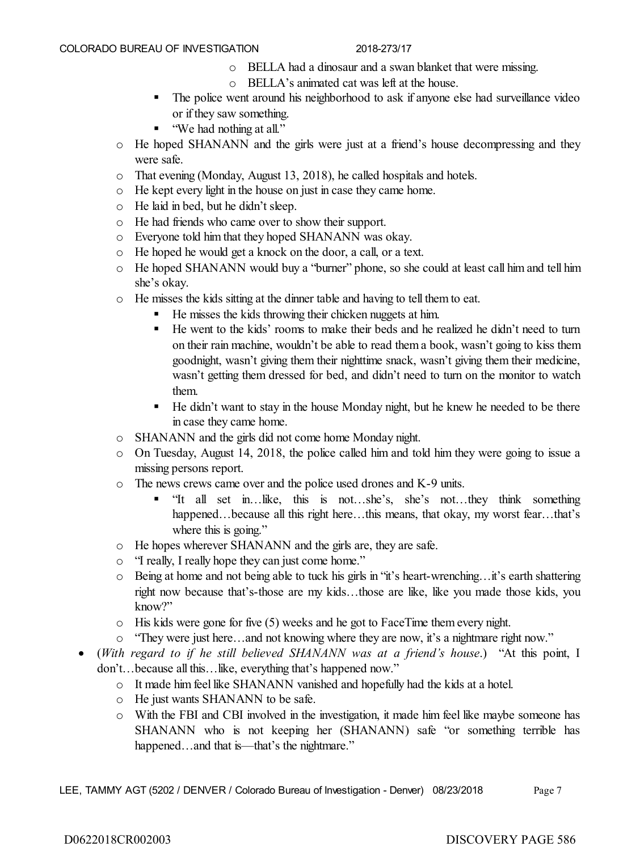- o BELLA had a dinosaur and a swan blanket that were missing.
- o BELLA's animated cat was left at the house.
- The police went around his neighborhood to ask if anyone else had surveillance video or if they saw something.
- "We had nothing at all."
- $\circ$  He hoped SHANANN and the girls were just at a friend's house decompressing and they were safe.
- o That evening (Monday, August 13, 2018), he called hospitals and hotels.
- o He kept every light in the house on just in case they came home.
- o He laid in bed, but he didn't sleep.
- o He had friends who came over to show their support.
- o Everyone told him that they hoped SHANANN was okay.
- o He hoped he would get a knock on the door, a call, or a text.
- o He hoped SHANANN would buy a "burner" phone, so she could at least call him and tell him she's okay.
- o He misses the kids sitting at the dinner table and having to tell them to eat.
	- He misses the kids throwing their chicken nuggets at him.
	- He went to the kids' rooms to make their beds and he realized he didn't need to turn on their rain machine, wouldn't be able to read them a book, wasn't going to kiss them goodnight, wasn't giving them their nighttime snack, wasn't giving them their medicine, wasn't getting them dressed for bed, and didn't need to turn on the monitor to watch them.
	- He didn't want to stay in the house Monday night, but he knew he needed to be there in case they came home.
- o SHANANN and the girls did not come home Monday night.
- o On Tuesday, August 14, 2018, the police called him and told him they were going to issue a missing persons report.
- o The news crews came over and the police used drones and K-9 units.
	- "It all set in…like, this is not…she's, she's not…they think something happened…because all this right here…this means, that okay, my worst fear…that's where this is going."
- o He hopes wherever SHANANN and the girls are, they are safe.
- o "I really, I really hope they can just come home."
- o Being at home and not being able to tuck his girls in "it's heart-wrenching…it's earth shattering right now because that's-those are my kids…those are like, like you made those kids, you know?"
- $\circ$  His kids were gone for five (5) weeks and he got to FaceTime them every night.
- o "They were just here…and not knowing where they are now, it's a nightmare right now."
- (*With regard to if he still believed SHANANN was at a friend's house*.) "At this point, I don't…because all this…like, everything that's happened now."
	- o It made him feel like SHANANN vanished and hopefully had the kids at a hotel.
	- o He just wants SHANANN to be safe.
	- o With the FBI and CBI involved in the investigation, it made him feel like maybe someone has SHANANN who is not keeping her (SHANANN) safe "or something terrible has happened...and that is—that's the nightmare."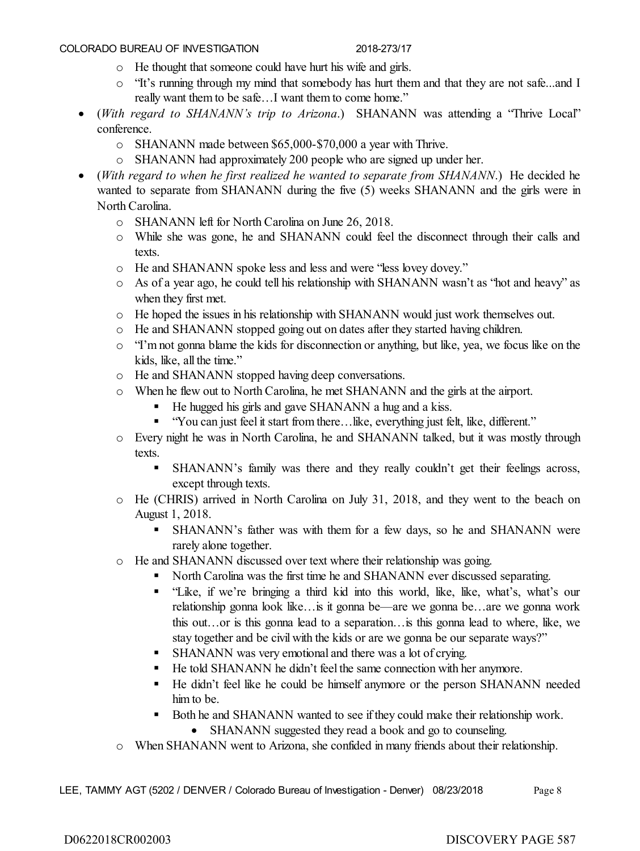- o He thought that someone could have hurt his wife and girls.
- o "It's running through my mind that somebody has hurt them and that they are not safe...and I really want them to be safe…I want them to come home."
- (*With regard to SHANANN's trip to Arizona*.) SHANANN was attending a "Thrive Local" conference.
	- o SHANANN made between \$65,000-\$70,000 a year with Thrive.
	- o SHANANN had approximately 200 people who are signed up under her.
- (*With regard to when he first realized he wanted to separate from SHANANN*.) He decided he wanted to separate from SHANANN during the five (5) weeks SHANANN and the girls were in North Carolina.
	- o SHANANN left for North Carolina on June 26, 2018.
	- o While she was gone, he and SHANANN could feel the disconnect through their calls and texts.
	- o He and SHANANN spoke less and less and were "less lovey dovey."
	- o As of a year ago, he could tell his relationship with SHANANN wasn't as "hot and heavy" as when they first met.
	- o He hoped the issues in his relationship with SHANANN would just work themselves out.
	- o He and SHANANN stopped going out on dates after they started having children.
	- o "I'm not gonna blame the kids for disconnection or anything, but like, yea, we focus like on the kids, like, all the time."
	- o He and SHANANN stopped having deep conversations.
	- o When he flew out to North Carolina, he met SHANANN and the girls at the airport.
		- He hugged his girls and gave SHANANN a hug and a kiss.
		- "You can just feel it start from there... like, everything just felt, like, different."
	- o Every night he was in North Carolina, he and SHANANN talked, but it was mostly through texts.
		- SHANANN's family was there and they really couldn't get their feelings across, except through texts.
	- o He (CHRIS) arrived in North Carolina on July 31, 2018, and they went to the beach on August 1, 2018.
		- SHANANN's father was with them for a few days, so he and SHANANN were rarely alone together.
	- o He and SHANANN discussed over text where their relationship was going.
		- North Carolina was the first time he and SHANANN ever discussed separating.
		- "Like, if we're bringing a third kid into this world, like, like, what's, what's our relationship gonna look like…is it gonna be—are we gonna be…are we gonna work this out…or is this gonna lead to a separation…is this gonna lead to where, like, we stay together and be civil with the kids or are we gonna be our separate ways?"
		- **SHANANN** was very emotional and there was a lot of crying.
		- He told SHANANN he didn't feel the same connection with her anymore.
		- He didn't feel like he could be himself anymore or the person SHANANN needed him to be.
		- Both he and SHANANN wanted to see if they could make their relationship work.
			- SHANANN suggested they read a book and go to counseling.
	- o When SHANANN went to Arizona, she confided in many friends about their relationship.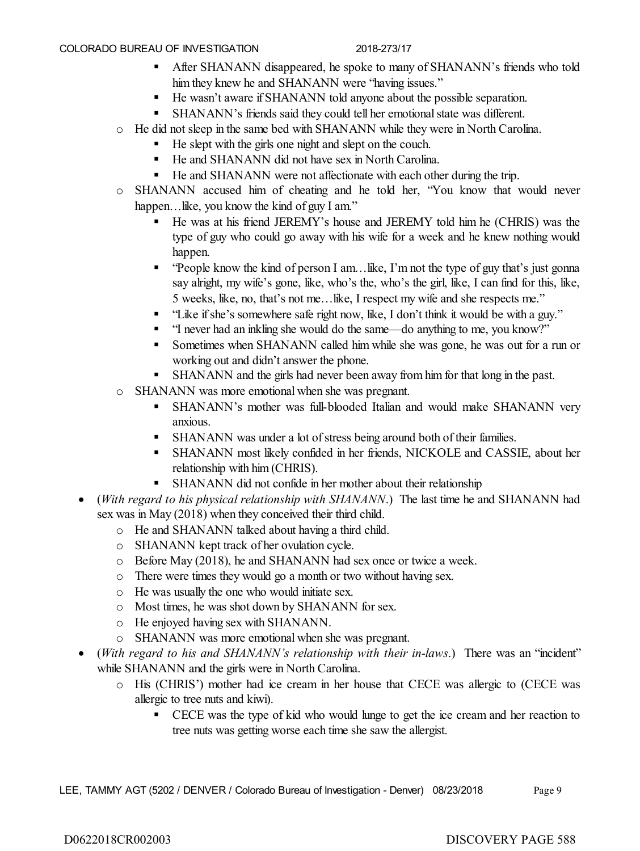- After SHANANN disappeared, he spoke to many of SHANANN's friends who told him they knew he and SHANANN were "having issues."
- He wasn't aware if SHANANN told anyone about the possible separation.
- SHANANN's friends said they could tell her emotional state was different.
- o He did not sleep in the same bed with SHANANN while they were in North Carolina.
	- He slept with the girls one night and slept on the couch.
	- He and SHANANN did not have sex in North Carolina.
	- He and SHANANN were not affectionate with each other during the trip.
- o SHANANN accused him of cheating and he told her, "You know that would never happen... like, you know the kind of guy I am."
	- He was at his friend JEREMY's house and JEREMY told him he (CHRIS) was the type of guy who could go away with his wife for a week and he knew nothing would happen.
	- "People know the kind of person I am…like, I'm not the type of guy that's just gonna say alright, my wife's gone, like, who's the, who's the girl, like, I can find for this, like, 5 weeks, like, no, that's not me…like, I respect my wife and she respects me."
	- "Like if she's somewhere safe right now, like, I don't think it would be with a guy."
	- "I never had an inkling she would do the same—do anything to me, you know?"
	- Sometimes when SHANANN called him while she was gone, he was out for a run or working out and didn't answer the phone.
	- SHANANN and the girls had never been away from him for that long in the past.
- o SHANANN was more emotional when she was pregnant.
	- SHANANN's mother was full-blooded Italian and would make SHANANN very anxious.
	- **SHANANN** was under a lot of stress being around both of their families.
	- SHANANN most likely confided in her friends, NICKOLE and CASSIE, about her relationship with him (CHRIS).
	- SHANANN did not confide in her mother about their relationship
- (*With regard to his physical relationship with SHANANN*.) The last time he and SHANANN had sex was in May (2018) when they conceived their third child.
	- o He and SHANANN talked about having a third child.
	- o SHANANN kept track of her ovulation cycle.
	- o Before May (2018), he and SHANANN had sex once or twice a week.
	- o There were times they would go a month or two without having sex.
	- o He was usually the one who would initiate sex.
	- o Most times, he was shot down by SHANANN for sex.
	- o He enjoyed having sex with SHANANN.
	- o SHANANN was more emotional when she was pregnant.
- (*With regard to his and SHANANN's relationship with their in-laws*.) There was an "incident" while SHANANN and the girls were in North Carolina.
	- o His (CHRIS') mother had ice cream in her house that CECE was allergic to (CECE was allergic to tree nuts and kiwi).
		- CECE was the type of kid who would lunge to get the ice cream and her reaction to tree nuts was getting worse each time she saw the allergist.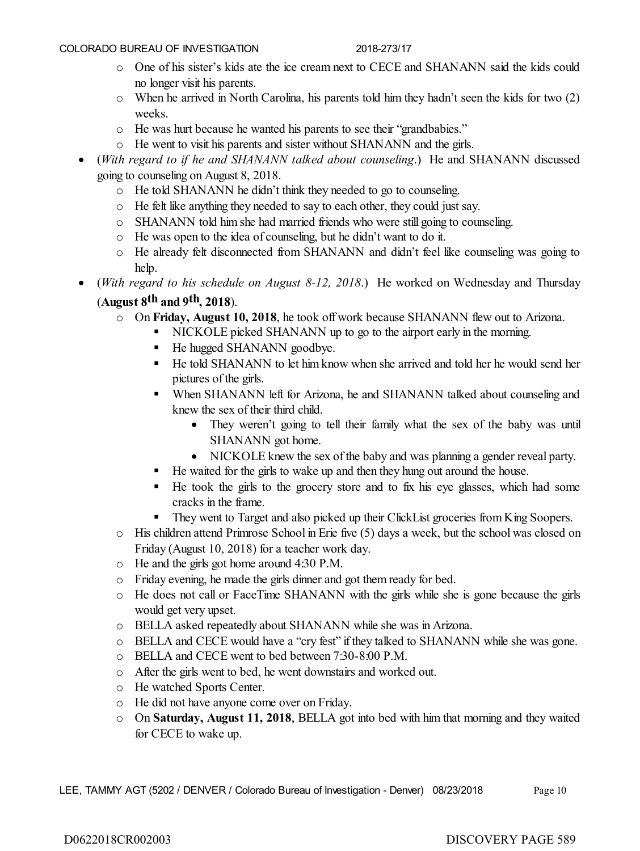- o One of his sister's kids ate the ice cream next to CECE and SHANANN said the kids could no longer visit his parents.
- o When he arrived in North Carolina, his parents told him they hadn't seen the kids for two (2) weeks.
- o He was hurt because he wanted his parents to see their "grandbabies."
- o He went to visit his parents and sister without SHANANN and the girls.
- (*With regard to if he and SHANANN talked about counseling*.) He and SHANANN discussed going to counseling on August 8, 2018.
	- o He told SHANANN he didn't think they needed to go to counseling.
	- o He felt like anything they needed to say to each other, they could just say.
	- o SHANANN told him she had married friends who were still going to counseling.
	- o He was open to the idea of counseling, but he didn't want to do it.
	- o He already felt disconnected from SHANANN and didn't feel like counseling was going to help.
- (*With regard to his schedule on August 8-12, 2018*.) He worked on Wednesday and Thursday (**August 8th and 9th, 2018**).
	- o On **Friday, August 10, 2018**, he took off work because SHANANN flew out to Arizona.
		- NICKOLE picked SHANANN up to go to the airport early in the morning.
			- He hugged SHANANN goodbye.
			- He told SHANANN to let him know when she arrived and told her he would send her pictures of the girls.
			- When SHANANN left for Arizona, he and SHANANN talked about counseling and knew the sex of their third child.
				- They weren't going to tell their family what the sex of the baby was until SHANANN got home.
				- NICKOLE knew the sex of the baby and was planning a gender reveal party.
			- He waited for the girls to wake up and then they hung out around the house.
			- He took the girls to the grocery store and to fix his eye glasses, which had some cracks in the frame.
			- They went to Target and also picked up their ClickList groceries from King Soopers.
	- o His children attend Primrose School in Erie five (5) days a week, but the school was closed on Friday (August 10, 2018) for a teacher work day.
	- o He and the girls got home around 4:30 P.M.
	- o Friday evening, he made the girls dinner and got them ready for bed.
	- o He does not call or FaceTime SHANANN with the girls while she is gone because the girls would get very upset.
	- o BELLA asked repeatedly about SHANANN while she was in Arizona.
	- o BELLA and CECE would have a "cry fest" if they talked to SHANANN while she was gone.
	- o BELLA and CECE went to bed between 7:30-8:00 P.M.
	- o After the girls went to bed, he went downstairs and worked out.
	- o He watched Sports Center.
	- o He did not have anyone come over on Friday.
	- o On **Saturday, August 11, 2018**, BELLA got into bed with him that morning and they waited for CECE to wake up.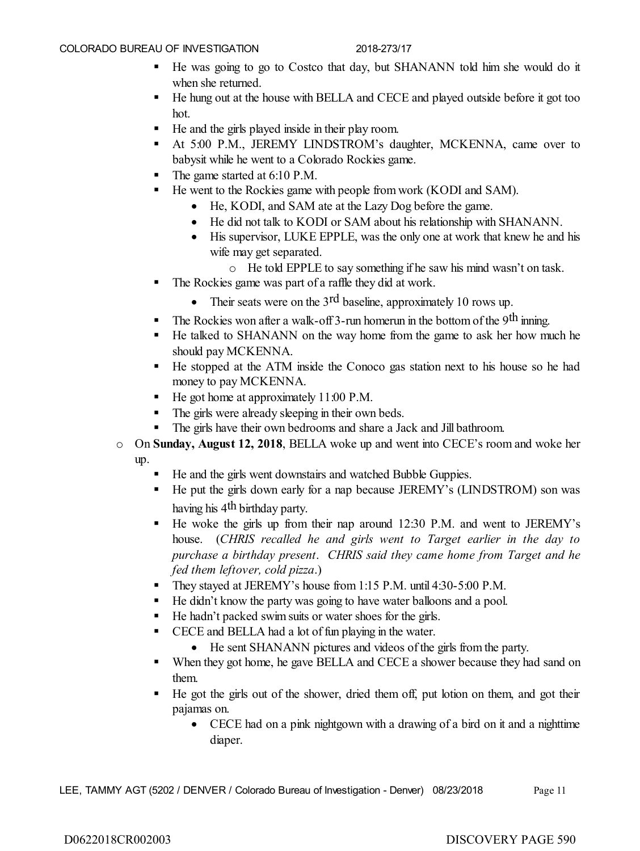- He was going to go to Costco that day, but SHANANN told him she would do it when she returned.
- He hung out at the house with BELLA and CECE and played outside before it got too hot.
- He and the girls played inside in their play room.
- At 5:00 P.M., JEREMY LINDSTROM's daughter, MCKENNA, came over to babysit while he went to a Colorado Rockies game.
- The game started at 6:10 P.M.
- He went to the Rockies game with people from work (KODI and SAM).
	- He, KODI, and SAM ate at the Lazy Dog before the game.
	- He did not talk to KODI or SAM about his relationship with SHANANN.
	- His supervisor, LUKE EPPLE, was the only one at work that knew he and his wife may get separated.
		- o He told EPPLE to say something if he saw his mind wasn't on task.
- The Rockies game was part of a raffle they did at work.
	- Their seats were on the 3<sup>rd</sup> baseline, approximately 10 rows up.
- The Rockies won after a walk-off 3-run homerun in the bottom of the 9<sup>th</sup> inning.
- He talked to SHANANN on the way home from the game to ask her how much he should pay MCKENNA.
- He stopped at the ATM inside the Conoco gas station next to his house so he had money to pay MCKENNA.
- He got home at approximately 11:00 P.M.
- The girls were already sleeping in their own beds.
- The girls have their own bedrooms and share a Jack and Jill bathroom.
- o On **Sunday, August 12, 2018**, BELLA woke up and went into CECE's room and woke her up.
	- He and the girls went downstairs and watched Bubble Guppies.
	- He put the girls down early for a nap because JEREMY's (LINDSTROM) son was having his 4<sup>th</sup> birthday party.
	- He woke the girls up from their nap around 12:30 P.M. and went to JEREMY's house. (*CHRIS recalled he and girls went to Target earlier in the day to purchase a birthday present*. *CHRIS said they came home from Target and he fed them leftover, cold pizza*.)
	- They stayed at JEREMY's house from 1:15 P.M. until 4:30-5:00 P.M.
	- He didn't know the party was going to have water balloons and a pool.
	- He hadn't packed swim suits or water shoes for the girls.
	- CECE and BELLA had a lot of fun playing in the water.
		- He sent SHANANN pictures and videos of the girls from the party.
	- When they got home, he gave BELLA and CECE a shower because they had sand on them.
	- He got the girls out of the shower, dried them off, put lotion on them, and got their pajamas on.
		- CECE had on a pink nightgown with a drawing of a bird on it and a nighttime diaper.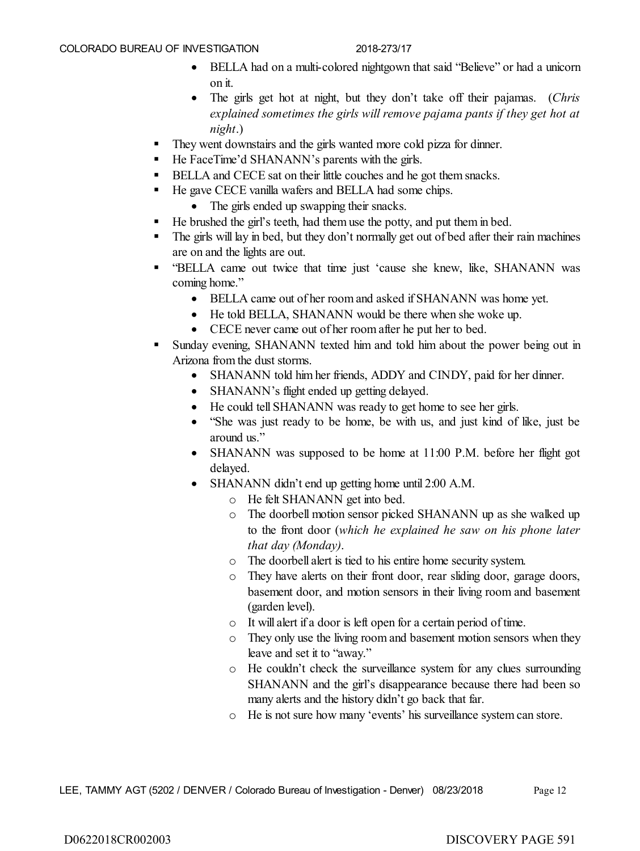- BELLA had on a multi-colored nightgown that said "Believe" or had a unicorn on it.
- The girls get hot at night, but they don't take off their pajamas. (*Chris explained sometimes the girls will remove pajama pants if they get hot at night*.)
- They went downstairs and the girls wanted more cold pizza for dinner.
- He FaceTime'd SHANANN's parents with the girls.
- BELLA and CECE sat on their little couches and he got them snacks.
- He gave CECE vanilla wafers and BELLA had some chips.
	- The girls ended up swapping their snacks.
- He brushed the girl's teeth, had them use the potty, and put them in bed.
- The girls will lay in bed, but they don't normally get out of bed after their rain machines are on and the lights are out.
- "BELLA came out twice that time just 'cause she knew, like, SHANANN was coming home."
	- BELLA came out of her room and asked if SHANANN was home yet.
	- He told BELLA, SHANANN would be there when she woke up.
	- CECE never came out of her room after he put her to bed.
- Sunday evening, SHANANN texted him and told him about the power being out in Arizona from the dust storms.
	- SHANANN told him her friends, ADDY and CINDY, paid for her dinner.
	- SHANANN's flight ended up getting delayed.
	- He could tell SHANANN was ready to get home to see her girls.
	- "She was just ready to be home, be with us, and just kind of like, just be around us."
	- SHANANN was supposed to be home at 11:00 P.M. before her flight got delayed.
	- SHANANN didn't end up getting home until 2:00 A.M.
		- o He felt SHANANN get into bed.
		- o The doorbell motion sensor picked SHANANN up as she walked up to the front door (*which he explained he saw on his phone later that day (Monday)*.
		- o The doorbell alert is tied to his entire home security system.
		- o They have alerts on their front door, rear sliding door, garage doors, basement door, and motion sensors in their living room and basement (garden level).
		- o It will alert if a door is left open for a certain period of time.
		- o They only use the living room and basement motion sensors when they leave and set it to "away."
		- o He couldn't check the surveillance system for any clues surrounding SHANANN and the girl's disappearance because there had been so many alerts and the history didn't go back that far.
		- o He is not sure how many 'events' his surveillance system can store.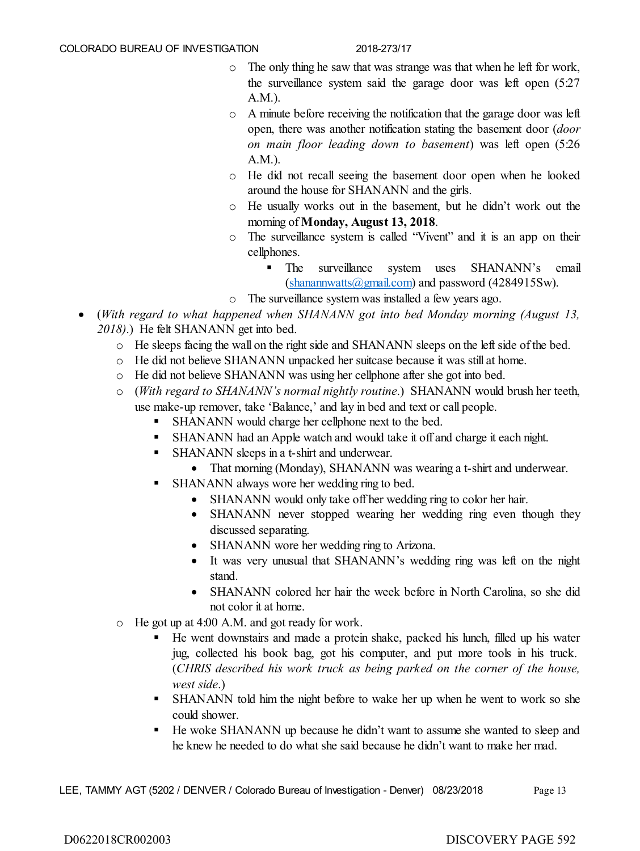- o The only thing he saw that was strange was that when he left for work, the surveillance system said the garage door was left open (5:27 A.M.).
- o A minute before receiving the notification that the garage door was left open, there was another notification stating the basement door (*door on main floor leading down to basement*) was left open (5:26 A.M.).
- o He did not recall seeing the basement door open when he looked around the house for SHANANN and the girls.
- o He usually works out in the basement, but he didn't work out the morning of **Monday, August 13, 2018**.
- o The surveillance system is called "Vivent" and it is an app on their cellphones.
	- **The surveillance system uses SHANANN's email**  $(\text{shanannwatts}(\textcircled{a})\text{gmail.com})$  and password (4284915Sw).
- o The surveillance system was installed a few years ago.
- (*With regard to what happened when SHANANN got into bed Monday morning (August 13, 2018)*.) He felt SHANANN get into bed.
	- o He sleeps facing the wall on the right side and SHANANN sleeps on the left side of the bed.
	- o He did not believe SHANANN unpacked her suitcase because it was still at home.
	- o He did not believe SHANANN was using her cellphone after she got into bed.
	- o (*With regard to SHANANN's normal nightly routine*.) SHANANN would brush her teeth, use make-up remover, take 'Balance,' and lay in bed and text or call people.
		- SHANANN would charge her cellphone next to the bed.
		- SHANANN had an Apple watch and would take it off and charge it each night.
		- SHANANN sleeps in a t-shirt and underwear.
			- That morning (Monday), SHANANN was wearing a t-shirt and underwear.
		- SHANANN always wore her wedding ring to bed.
			- SHANANN would only take off her wedding ring to color her hair.
			- SHANANN never stopped wearing her wedding ring even though they discussed separating.
			- SHANANN wore her wedding ring to Arizona.
			- It was very unusual that SHANANN's wedding ring was left on the night stand.
			- SHANANN colored her hair the week before in North Carolina, so she did not color it at home.
	- o He got up at 4:00 A.M. and got ready for work.
		- He went downstairs and made a protein shake, packed his lunch, filled up his water jug, collected his book bag, got his computer, and put more tools in his truck. (*CHRIS described his work truck as being parked on the corner of the house, west side*.)
		- SHANANN told him the night before to wake her up when he went to work so she could shower.
		- He woke SHANANN up because he didn't want to assume she wanted to sleep and he knew he needed to do what she said because he didn't want to make her mad.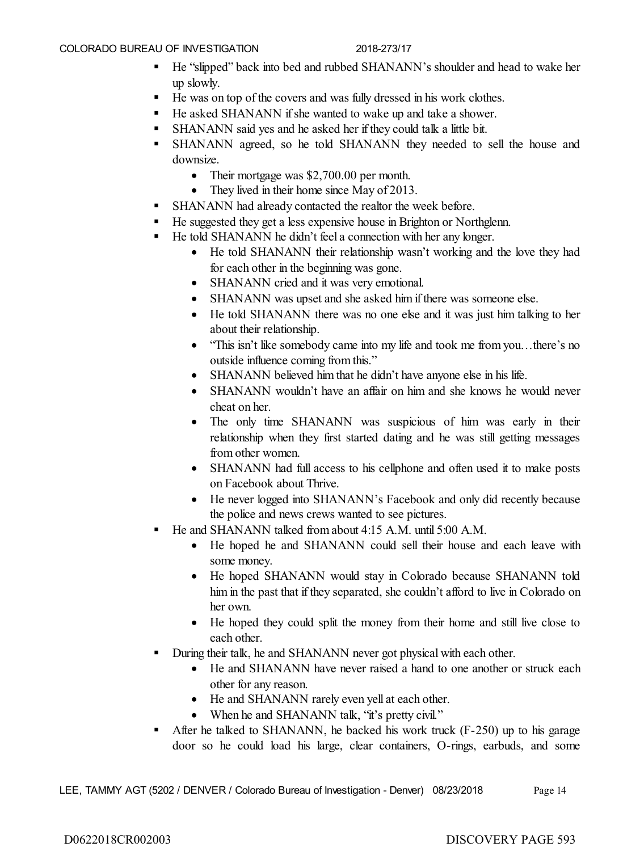- He "slipped" back into bed and rubbed SHANANN's shoulder and head to wake her up slowly.
- He was on top of the covers and was fully dressed in his work clothes.
- He asked SHANANN if she wanted to wake up and take a shower.
- SHANANN said yes and he asked her if they could talk a little bit.
- SHANANN agreed, so he told SHANANN they needed to sell the house and downsize.
	- Their mortgage was \$2,700.00 per month.
	- They lived in their home since May of 2013.
- SHANANN had already contacted the realtor the week before.
- He suggested they get a less expensive house in Brighton or Northglenn.
- He told SHANANN he didn't feel a connection with her any longer.
	- He told SHANANN their relationship wasn't working and the love they had for each other in the beginning was gone.
	- SHANANN cried and it was very emotional.
	- SHANANN was upset and she asked him if there was someone else.
	- He told SHANANN there was no one else and it was just him talking to her about their relationship.
	- "This isn't like somebody came into my life and took me from you...there's no outside influence coming from this."
	- SHANANN believed him that he didn't have anyone else in his life.
	- SHANANN wouldn't have an affair on him and she knows he would never cheat on her.
	- The only time SHANANN was suspicious of him was early in their relationship when they first started dating and he was still getting messages from other women.
	- SHANANN had full access to his cellphone and often used it to make posts on Facebook about Thrive.
	- He never logged into SHANANN's Facebook and only did recently because the police and news crews wanted to see pictures.
	- He and SHANANN talked from about 4:15 A.M. until 5:00 A.M.
		- He hoped he and SHANANN could sell their house and each leave with some money.
		- He hoped SHANANN would stay in Colorado because SHANANN told him in the past that if they separated, she couldn't afford to live in Colorado on her own.
		- He hoped they could split the money from their home and still live close to each other.
- During their talk, he and SHANANN never got physical with each other.
	- He and SHANANN have never raised a hand to one another or struck each other for any reason.
	- He and SHANANN rarely even yell at each other.
	- When he and SHANANN talk, "it's pretty civil."
- After he talked to SHANANN, he backed his work truck (F-250) up to his garage door so he could load his large, clear containers, O-rings, earbuds, and some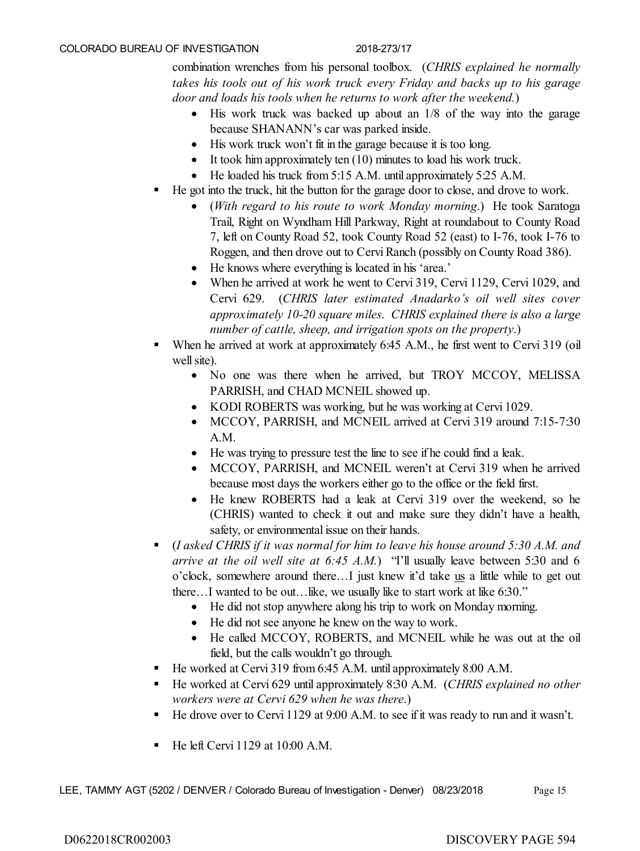combination wrenches from his personal toolbox. (*CHRIS explained he normally takes his tools out of his work truck every Friday and backs up to his garage door and loads his tools when he returns to work after the weekend.*)

- His work truck was backed up about an 1/8 of the way into the garage because SHANANN's car was parked inside.
- His work truck won't fit in the garage because it is too long.
- $\bullet$  It took him approximately ten  $(10)$  minutes to load his work truck.
- He loaded his truck from 5:15 A.M. until approximately 5:25 A.M.
- He got into the truck, hit the button for the garage door to close, and drove to work.
	- (*With regard to his route to work Monday morning*.) He took Saratoga Trail, Right on Wyndham Hill Parkway, Right at roundabout to County Road 7, left on County Road 52, took County Road 52 (east) to I-76, took I-76 to Roggen, and then drove out to Cervi Ranch (possibly on County Road 386).
	- He knows where everything is located in his 'area.'
	- When he arrived at work he went to Cervi 319, Cervi 1129, Cervi 1029, and Cervi 629. (*CHRIS later estimated Anadarko's oil well sites cover approximately 10-20 square miles*. *CHRIS explained there is also a large number of cattle, sheep, and irrigation spots on the property*.)
- When he arrived at work at approximately 6:45 A.M., he first went to Cervi 319 (oil well site).
	- No one was there when he arrived, but TROY MCCOY, MELISSA PARRISH, and CHAD MCNEIL showed up.
	- KODI ROBERTS was working, but he was working at Cervi 1029.
	- MCCOY, PARRISH, and MCNEIL arrived at Cervi 319 around 7:15-7:30 A.M.
	- He was trying to pressure test the line to see if he could find a leak.
	- MCCOY, PARRISH, and MCNEIL weren't at Cervi 319 when he arrived because most days the workers either go to the office or the field first.
	- He knew ROBERTS had a leak at Cervi 319 over the weekend, so he (CHRIS) wanted to check it out and make sure they didn't have a health, safety, or environmental issue on their hands.
- (*I asked CHRIS if it was normal for him to leave his house around 5:30 A.M. and arrive at the oil well site at 6:45 A.M.*) "I'll usually leave between 5:30 and 6 o'clock, somewhere around there…I just knew it'd take us a little while to get out there…I wanted to be out…like, we usually like to start work at like 6:30."
	- He did not stop anywhere along his trip to work on Monday morning.
	- He did not see anyone he knew on the way to work.
	- He called MCCOY, ROBERTS, and MCNEIL while he was out at the oil field, but the calls wouldn't go through.
- He worked at Cervi 319 from 6:45 A.M. until approximately 8:00 A.M.
- He worked at Cervi 629 until approximately 8:30 A.M. (*CHRIS explained no other workers were at Cervi 629 when he was there*.)
- He drove over to Cervi 1129 at 9:00 A.M. to see if it was ready to run and it wasn't.
- He left Cervi 1129 at 10:00 A.M.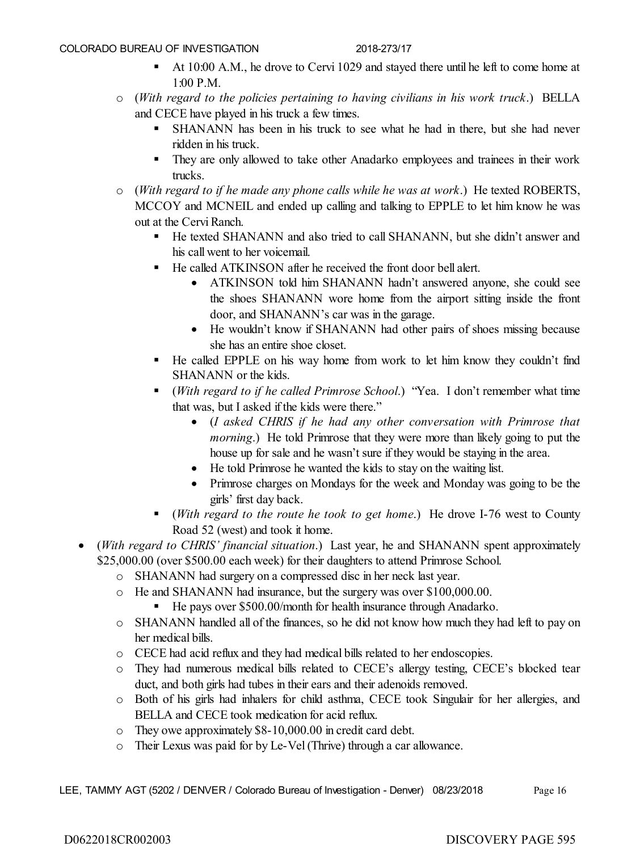- At 10:00 A.M., he drove to Cervi 1029 and stayed there until he left to come home at 1:00 P.M.
- o (*With regard to the policies pertaining to having civilians in his work truck*.) BELLA and CECE have played in his truck a few times.
	- SHANANN has been in his truck to see what he had in there, but she had never ridden in his truck.
	- They are only allowed to take other Anadarko employees and trainees in their work trucks.
- o (*With regard to if he made any phone calls while he was at work*.) He texted ROBERTS, MCCOY and MCNEIL and ended up calling and talking to EPPLE to let him know he was out at the Cervi Ranch.
	- He texted SHANANN and also tried to call SHANANN, but she didn't answer and his call went to her voicemail.
	- He called ATKINSON after he received the front door bell alert.
		- ATKINSON told him SHANANN hadn't answered anyone, she could see the shoes SHANANN wore home from the airport sitting inside the front door, and SHANANN's car was in the garage.
		- He wouldn't know if SHANANN had other pairs of shoes missing because she has an entire shoe closet.
	- He called EPPLE on his way home from work to let him know they couldn't find SHANANN or the kids.
	- (*With regard to if he called Primrose School*.) "Yea. I don't remember what time that was, but I asked if the kids were there."
		- (*I asked CHRIS if he had any other conversation with Primrose that morning*.) He told Primrose that they were more than likely going to put the house up for sale and he wasn't sure if they would be staying in the area.
		- He told Primrose he wanted the kids to stay on the waiting list.
		- Primrose charges on Mondays for the week and Monday was going to be the girls' first day back.
	- (*With regard to the route he took to get home*.) He drove I-76 west to County Road 52 (west) and took it home.
- (*With regard to CHRIS' financial situation*.) Last year, he and SHANANN spent approximately \$25,000.00 (over \$500.00 each week) for their daughters to attend Primrose School.
	- o SHANANN had surgery on a compressed disc in her neck last year.
	- o He and SHANANN had insurance, but the surgery was over \$100,000.00.
		- He pays over \$500.00/month for health insurance through Anadarko.
	- o SHANANN handled all of the finances, so he did not know how much they had left to pay on her medical bills.
	- o CECE had acid reflux and they had medical bills related to her endoscopies.
	- o They had numerous medical bills related to CECE's allergy testing, CECE's blocked tear duct, and both girls had tubes in their ears and their adenoids removed.
	- o Both of his girls had inhalers for child asthma, CECE took Singulair for her allergies, and BELLA and CECE took medication for acid reflux.
	- o They owe approximately \$8-10,000.00 in credit card debt.
	- o Their Lexus was paid for by Le-Vel (Thrive) through a car allowance.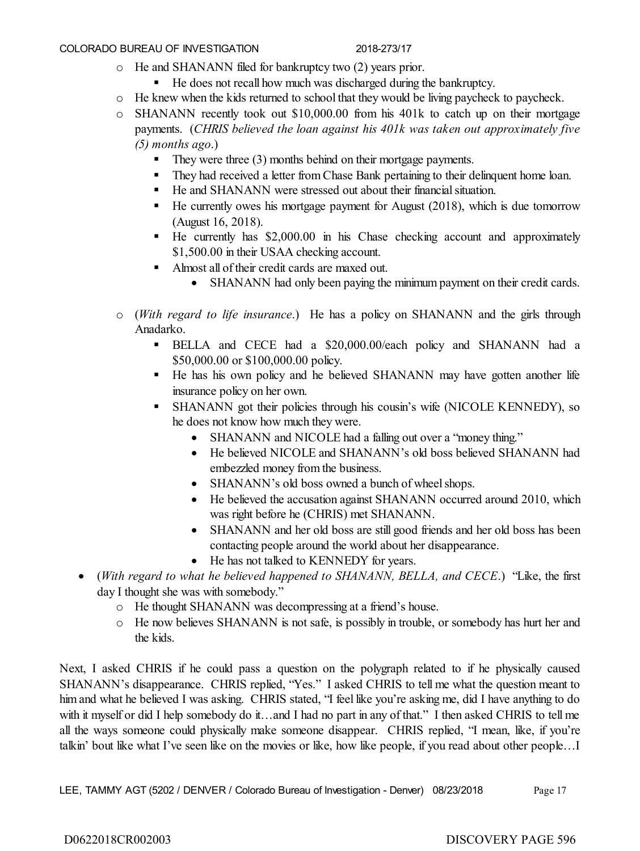- o He and SHANANN filed for bankruptcy two (2) years prior.
	- He does not recall how much was discharged during the bankruptcy.
- o He knew when the kids returned to school that they would be living paycheck to paycheck.
- o SHANANN recently took out \$10,000.00 from his 401k to catch up on their mortgage payments. (*CHRIS believed the loan against his 401k was taken out approximately five (5) months ago*.)
	- They were three (3) months behind on their mortgage payments.
	- They had received a letter from Chase Bank pertaining to their delinquent home loan.
	- He and SHANANN were stressed out about their financial situation.
	- He currently owes his mortgage payment for August (2018), which is due tomorrow (August 16, 2018).
	- $\blacksquare$  He currently has \$2,000.00 in his Chase checking account and approximately \$1,500.00 in their USAA checking account.
	- Almost all of their credit cards are maxed out.
		- SHANANN had only been paying the minimum payment on their credit cards.
- o (*With regard to life insurance*.) He has a policy on SHANANN and the girls through Anadarko.
	- BELLA and CECE had a \$20,000.00/each policy and SHANANN had a \$50,000.00 or \$100,000.00 policy.
	- He has his own policy and he believed SHANANN may have gotten another life insurance policy on her own.
	- SHANANN got their policies through his cousin's wife (NICOLE KENNEDY), so he does not know how much they were.
		- SHANANN and NICOLE had a falling out over a "money thing."
		- He believed NICOLE and SHANANN's old boss believed SHANANN had embezzled money from the business.
		- SHANANN's old boss owned a bunch of wheel shops.
		- He believed the accusation against SHANANN occurred around 2010, which was right before he (CHRIS) met SHANANN.
		- SHANANN and her old boss are still good friends and her old boss has been contacting people around the world about her disappearance.
		- He has not talked to KENNEDY for years.
- (*With regard to what he believed happened to SHANANN, BELLA, and CECE*.) "Like, the first day I thought she was with somebody."
	- o He thought SHANANN was decompressing at a friend's house.
	- o He now believes SHANANN is not safe, is possibly in trouble, or somebody has hurt her and the kids.

Next, I asked CHRIS if he could pass a question on the polygraph related to if he physically caused SHANANN's disappearance. CHRIS replied, "Yes." I asked CHRIS to tell me what the question meant to him and what he believed I was asking. CHRIS stated, "I feel like you're asking me, did I have anything to do with it myself or did I help somebody do it...and I had no part in any of that." I then asked CHRIS to tell me all the ways someone could physically make someone disappear. CHRIS replied, "I mean, like, if you're talkin' bout like what I've seen like on the movies or like, how like people, if you read about other people…I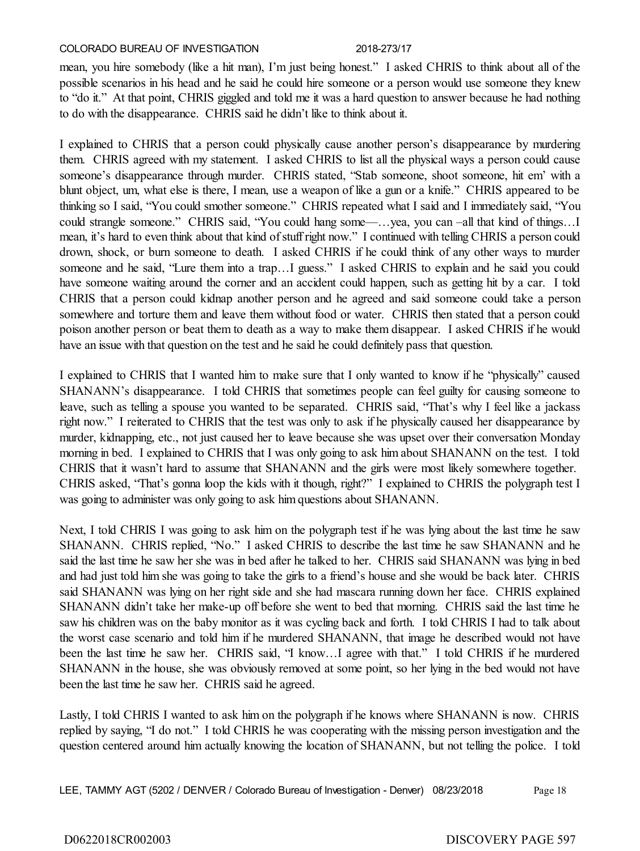mean, you hire somebody (like a hit man), I'm just being honest." I asked CHRIS to think about all of the possible scenarios in his head and he said he could hire someone or a person would use someone they knew to "do it." At that point, CHRIS giggled and told me it was a hard question to answer because he had nothing to do with the disappearance. CHRIS said he didn't like to think about it.

I explained to CHRIS that a person could physically cause another person's disappearance by murdering them. CHRIS agreed with my statement. I asked CHRIS to list all the physical ways a person could cause someone's disappearance through murder. CHRIS stated, "Stab someone, shoot someone, hit em' with a blunt object, um, what else is there, I mean, use a weapon of like a gun or a knife." CHRIS appeared to be thinking so I said, "You could smother someone." CHRIS repeated what I said and I immediately said, "You could strangle someone." CHRIS said, "You could hang some—…yea, you can –all that kind of things…I mean, it's hard to even think about that kind of stuff right now." I continued with telling CHRIS a person could drown, shock, or burn someone to death. I asked CHRIS if he could think of any other ways to murder someone and he said, "Lure them into a trap...I guess." I asked CHRIS to explain and he said you could have someone waiting around the corner and an accident could happen, such as getting hit by a car. I told CHRIS that a person could kidnap another person and he agreed and said someone could take a person somewhere and torture them and leave them without food or water. CHRIS then stated that a person could poison another person or beat them to death as a way to make them disappear. I asked CHRIS if he would have an issue with that question on the test and he said he could definitely pass that question.

I explained to CHRIS that I wanted him to make sure that I only wanted to know if he "physically" caused SHANANN's disappearance. I told CHRIS that sometimes people can feel guilty for causing someone to leave, such as telling a spouse you wanted to be separated. CHRIS said, "That's why I feel like a jackass right now." I reiterated to CHRIS that the test was only to ask if he physically caused her disappearance by murder, kidnapping, etc., not just caused her to leave because she was upset over their conversation Monday morning in bed. I explained to CHRIS that I was only going to ask him about SHANANN on the test. I told CHRIS that it wasn't hard to assume that SHANANN and the girls were most likely somewhere together. CHRIS asked, "That's gonna loop the kids with it though, right?" I explained to CHRIS the polygraph test I was going to administer was only going to ask him questions about SHANANN.

Next, I told CHRIS I was going to ask him on the polygraph test if he was lying about the last time he saw SHANANN. CHRIS replied, "No." I asked CHRIS to describe the last time he saw SHANANN and he said the last time he saw her she was in bed after he talked to her. CHRIS said SHANANN was lying in bed and had just told him she was going to take the girls to a friend's house and she would be back later. CHRIS said SHANANN was lying on her right side and she had mascara running down her face. CHRIS explained SHANANN didn't take her make-up off before she went to bed that morning. CHRIS said the last time he saw his children was on the baby monitor as it was cycling back and forth. I told CHRIS I had to talk about the worst case scenario and told him if he murdered SHANANN, that image he described would not have been the last time he saw her. CHRIS said, "I know…I agree with that." I told CHRIS if he murdered SHANANN in the house, she was obviously removed at some point, so her lying in the bed would not have been the last time he saw her. CHRIS said he agreed.

Lastly, I told CHRIS I wanted to ask him on the polygraph if he knows where SHANANN is now. CHRIS replied by saying, "I do not." I told CHRIS he was cooperating with the missing person investigation and the question centered around him actually knowing the location of SHANANN, but not telling the police. I told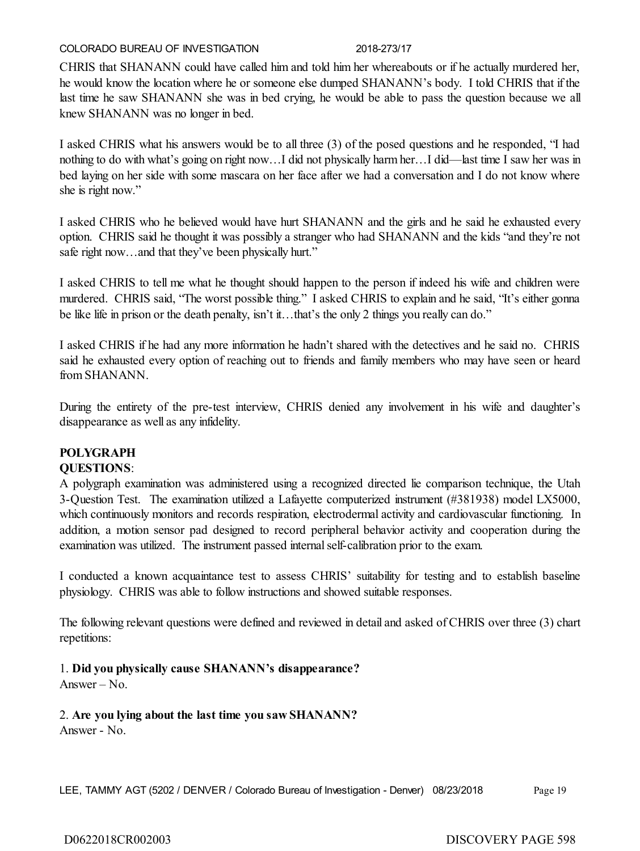CHRIS that SHANANN could have called him and told him her whereabouts or if he actually murdered her, he would know the location where he or someone else dumped SHANANN's body. I told CHRIS that if the last time he saw SHANANN she was in bed crying, he would be able to pass the question because we all knew SHANANN was no longer in bed.

I asked CHRIS what his answers would be to all three (3) of the posed questions and he responded, "I had nothing to do with what's going on right now…I did not physically harm her…I did—last time I saw her was in bed laying on her side with some mascara on her face after we had a conversation and I do not know where she is right now."

I asked CHRIS who he believed would have hurt SHANANN and the girls and he said he exhausted every option. CHRIS said he thought it was possibly a stranger who had SHANANN and the kids "and they're not safe right now...and that they've been physically hurt."

I asked CHRIS to tell me what he thought should happen to the person if indeed his wife and children were murdered. CHRIS said, "The worst possible thing." I asked CHRIS to explain and he said, "It's either gonna be like life in prison or the death penalty, isn't it…that's the only 2 things you really can do."

I asked CHRIS if he had any more information he hadn't shared with the detectives and he said no. CHRIS said he exhausted every option of reaching out to friends and family members who may have seen or heard from SHANANN.

During the entirety of the pre-test interview, CHRIS denied any involvement in his wife and daughter's disappearance as well as any infidelity.

# **POLYGRAPH**

# **QUESTIONS**:

A polygraph examination was administered using a recognized directed lie comparison technique, the Utah 3-Question Test. The examination utilized a Lafayette computerized instrument (#381938) model LX5000, which continuously monitors and records respiration, electrodermal activity and cardiovascular functioning. In addition, a motion sensor pad designed to record peripheral behavior activity and cooperation during the examination was utilized. The instrument passed internal self-calibration prior to the exam.

I conducted a known acquaintance test to assess CHRIS' suitability for testing and to establish baseline physiology. CHRIS was able to follow instructions and showed suitable responses.

The following relevant questions were defined and reviewed in detail and asked of CHRIS over three (3) chart repetitions:

1. **Did you physically cause SHANANN's disappearance?** Answer – No.

2. **Are you lying about the last time you saw SHANANN?**

Answer - No.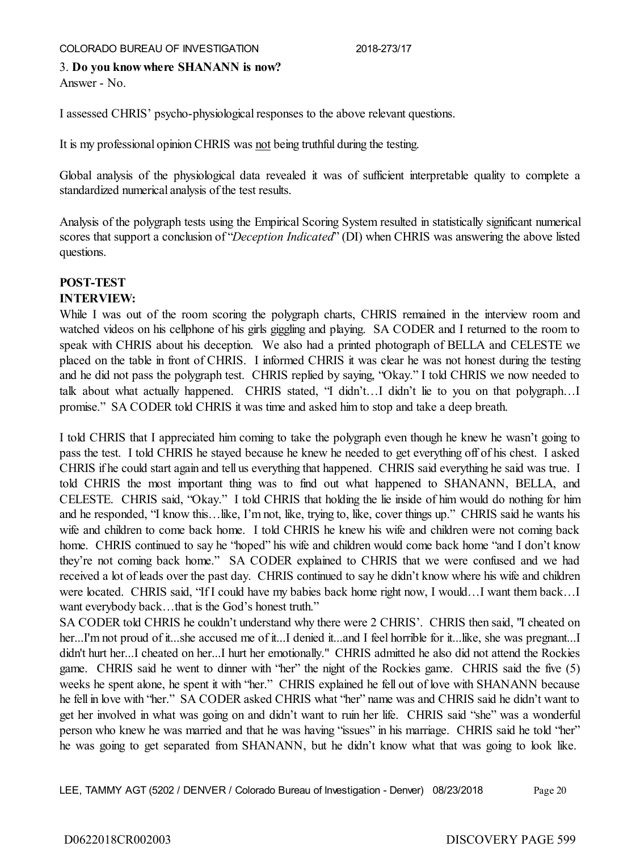3. **Do you know where SHANANN is now?** Answer - No.

I assessed CHRIS' psycho-physiological responses to the above relevant questions.

It is my professional opinion CHRIS was not being truthful during the testing.

Global analysis of the physiological data revealed it was of sufficient interpretable quality to complete a standardized numerical analysis of the test results.

Analysis of the polygraph tests using the Empirical Scoring System resulted in statistically significant numerical scores that support a conclusion of "*Deception Indicated*" (DI) when CHRIS was answering the above listed questions.

# **POST-TEST**

### **INTERVIEW:**

While I was out of the room scoring the polygraph charts, CHRIS remained in the interview room and watched videos on his cellphone of his girls giggling and playing. SA CODER and I returned to the room to speak with CHRIS about his deception. We also had a printed photograph of BELLA and CELESTE we placed on the table in front of CHRIS. I informed CHRIS it was clear he was not honest during the testing and he did not pass the polygraph test. CHRIS replied by saying, "Okay." I told CHRIS we now needed to talk about what actually happened. CHRIS stated, "I didn't…I didn't lie to you on that polygraph…I promise." SA CODER told CHRIS it was time and asked him to stop and take a deep breath.

I told CHRIS that I appreciated him coming to take the polygraph even though he knew he wasn't going to pass the test. I told CHRIS he stayed because he knew he needed to get everything off of his chest. I asked CHRIS if he could start again and tell us everything that happened. CHRIS said everything he said was true. I told CHRIS the most important thing was to find out what happened to SHANANN, BELLA, and CELESTE. CHRIS said, "Okay." I told CHRIS that holding the lie inside of him would do nothing for him and he responded, "I know this…like, I'm not, like, trying to, like, cover things up." CHRIS said he wants his wife and children to come back home. I told CHRIS he knew his wife and children were not coming back home. CHRIS continued to say he "hoped" his wife and children would come back home "and I don't know they're not coming back home." SA CODER explained to CHRIS that we were confused and we had received a lot of leads over the past day. CHRIS continued to say he didn't know where his wife and children were located. CHRIS said, "If I could have my babies back home right now, I would…I want them back…I want everybody back…that is the God's honest truth."

SA CODER told CHRIS he couldn't understand why there were 2 CHRIS'. CHRIS then said, "I cheated on her...I'm not proud of it...she accused me of it...I denied it...and I feel horrible for it...like, she was pregnant...I didn't hurt her...I cheated on her...I hurt her emotionally." CHRIS admitted he also did not attend the Rockies game. CHRIS said he went to dinner with "her" the night of the Rockies game. CHRIS said the five (5) weeks he spent alone, he spent it with "her." CHRIS explained he fell out of love with SHANANN because he fell in love with "her." SA CODER asked CHRIS what "her" name was and CHRIS said he didn't want to get her involved in what was going on and didn't want to ruin her life. CHRIS said "she" was a wonderful person who knew he was married and that he was having "issues" in his marriage. CHRIS said he told "her" he was going to get separated from SHANANN, but he didn't know what that was going to look like.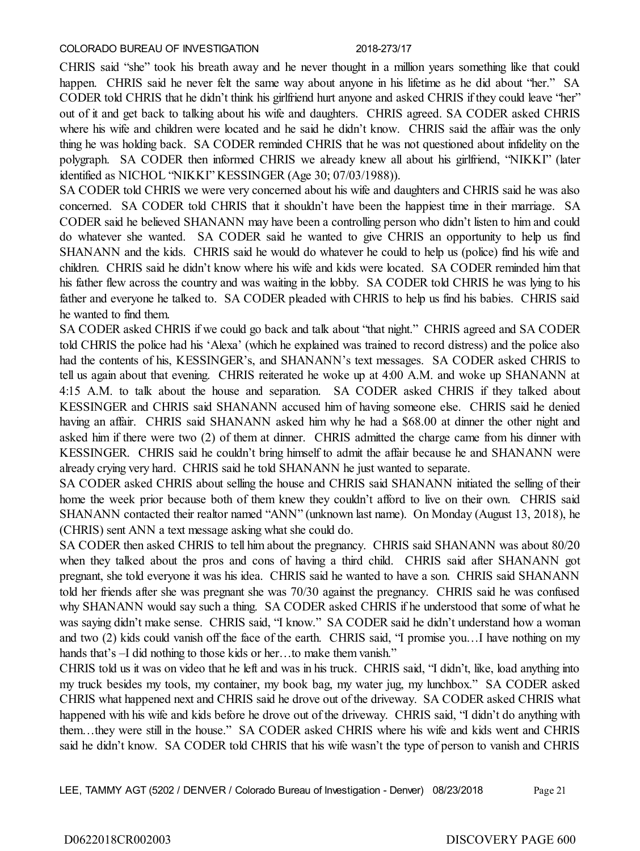CHRIS said "she" took his breath away and he never thought in a million years something like that could happen. CHRIS said he never felt the same way about anyone in his lifetime as he did about "her." SA CODER told CHRIS that he didn't think his girlfriend hurt anyone and asked CHRIS if they could leave "her" out of it and get back to talking about his wife and daughters. CHRIS agreed. SA CODER asked CHRIS where his wife and children were located and he said he didn't know. CHRIS said the affair was the only thing he was holding back. SA CODER reminded CHRIS that he was not questioned about infidelity on the polygraph. SA CODER then informed CHRIS we already knew all about his girlfriend, "NIKKI" (later identified as NICHOL "NIKKI" KESSINGER (Age 30; 07/03/1988)).

SA CODER told CHRIS we were very concerned about his wife and daughters and CHRIS said he was also concerned. SA CODER told CHRIS that it shouldn't have been the happiest time in their marriage. SA CODER said he believed SHANANN may have been a controlling person who didn't listen to him and could do whatever she wanted. SA CODER said he wanted to give CHRIS an opportunity to help us find SHANANN and the kids. CHRIS said he would do whatever he could to help us (police) find his wife and children. CHRIS said he didn't know where his wife and kids were located. SA CODER reminded him that his father flew across the country and was waiting in the lobby. SA CODER told CHRIS he was lying to his father and everyone he talked to. SA CODER pleaded with CHRIS to help us find his babies. CHRIS said he wanted to find them.

SA CODER asked CHRIS if we could go back and talk about "that night." CHRIS agreed and SA CODER told CHRIS the police had his 'Alexa' (which he explained was trained to record distress) and the police also had the contents of his, KESSINGER's, and SHANANN's text messages. SA CODER asked CHRIS to tell us again about that evening. CHRIS reiterated he woke up at 4:00 A.M. and woke up SHANANN at 4:15 A.M. to talk about the house and separation. SA CODER asked CHRIS if they talked about KESSINGER and CHRIS said SHANANN accused him of having someone else. CHRIS said he denied having an affair. CHRIS said SHANANN asked him why he had a \$68.00 at dinner the other night and asked him if there were two (2) of them at dinner. CHRIS admitted the charge came from his dinner with KESSINGER. CHRIS said he couldn't bring himself to admit the affair because he and SHANANN were already crying very hard. CHRIS said he told SHANANN he just wanted to separate.

SA CODER asked CHRIS about selling the house and CHRIS said SHANANN initiated the selling of their home the week prior because both of them knew they couldn't afford to live on their own. CHRIS said SHANANN contacted their realtor named "ANN" (unknown last name). On Monday (August 13, 2018), he (CHRIS) sent ANN a text message asking what she could do.

SA CODER then asked CHRIS to tell him about the pregnancy. CHRIS said SHANANN was about 80/20 when they talked about the pros and cons of having a third child. CHRIS said after SHANANN got pregnant, she told everyone it was his idea. CHRIS said he wanted to have a son. CHRIS said SHANANN told her friends after she was pregnant she was 70/30 against the pregnancy. CHRIS said he was confused why SHANANN would say such a thing. SA CODER asked CHRIS if he understood that some of what he was saying didn't make sense. CHRIS said, "I know." SA CODER said he didn't understand how a woman and two (2) kids could vanish off the face of the earth. CHRIS said, "I promise you…I have nothing on my hands that's –I did nothing to those kids or her...to make them vanish."

CHRIS told us it was on video that he left and was in his truck. CHRIS said, "I didn't, like, load anything into my truck besides my tools, my container, my book bag, my water jug, my lunchbox." SA CODER asked CHRIS what happened next and CHRIS said he drove out of the driveway. SA CODER asked CHRIS what happened with his wife and kids before he drove out of the driveway. CHRIS said, "I didn't do anything with them…they were still in the house." SA CODER asked CHRIS where his wife and kids went and CHRIS said he didn't know. SA CODER told CHRIS that his wife wasn't the type of person to vanish and CHRIS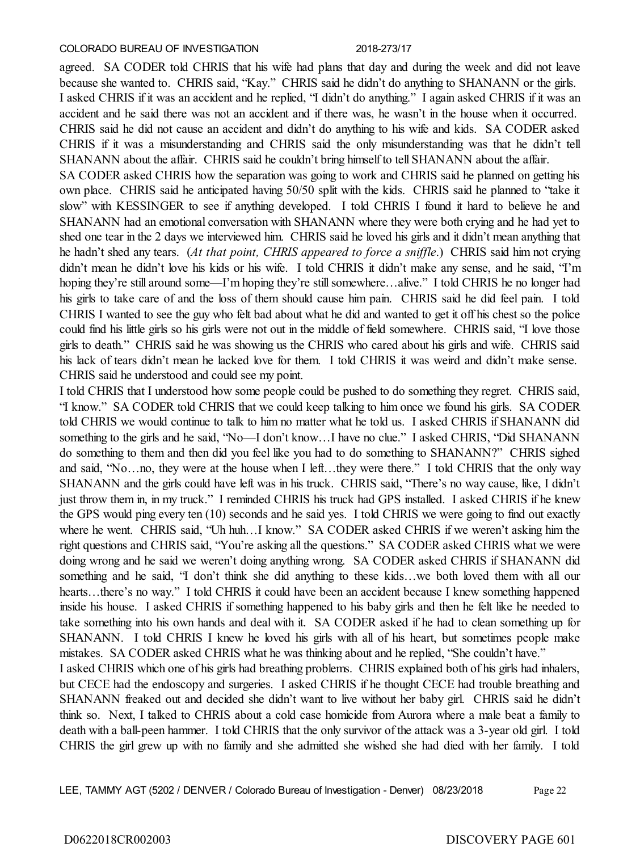agreed. SA CODER told CHRIS that his wife had plans that day and during the week and did not leave because she wanted to. CHRIS said, "Kay." CHRIS said he didn't do anything to SHANANN or the girls. I asked CHRIS if it was an accident and he replied, "I didn't do anything." I again asked CHRIS if it was an accident and he said there was not an accident and if there was, he wasn't in the house when it occurred. CHRIS said he did not cause an accident and didn't do anything to his wife and kids. SA CODER asked CHRIS if it was a misunderstanding and CHRIS said the only misunderstanding was that he didn't tell SHANANN about the affair. CHRIS said he couldn't bring himself to tell SHANANN about the affair.

SA CODER asked CHRIS how the separation was going to work and CHRIS said he planned on getting his own place. CHRIS said he anticipated having 50/50 split with the kids. CHRIS said he planned to "take it slow" with KESSINGER to see if anything developed. I told CHRIS I found it hard to believe he and SHANANN had an emotional conversation with SHANANN where they were both crying and he had yet to shed one tear in the 2 days we interviewed him. CHRIS said he loved his girls and it didn't mean anything that he hadn't shed any tears. (*At that point, CHRIS appeared to force a sniffle*.) CHRIS said him not crying didn't mean he didn't love his kids or his wife. I told CHRIS it didn't make any sense, and he said, "I'm hoping they're still around some—I'm hoping they're still somewhere...alive." I told CHRIS he no longer had his girls to take care of and the loss of them should cause him pain. CHRIS said he did feel pain. I told CHRIS I wanted to see the guy who felt bad about what he did and wanted to get it off his chest so the police could find his little girls so his girls were not out in the middle of field somewhere. CHRIS said, "I love those girls to death." CHRIS said he was showing us the CHRIS who cared about his girls and wife. CHRIS said his lack of tears didn't mean he lacked love for them. I told CHRIS it was weird and didn't make sense. CHRIS said he understood and could see my point.

I told CHRIS that I understood how some people could be pushed to do something they regret. CHRIS said, "I know." SA CODER told CHRIS that we could keep talking to him once we found his girls. SA CODER told CHRIS we would continue to talk to him no matter what he told us. I asked CHRIS if SHANANN did something to the girls and he said, "No—I don't know...I have no clue." I asked CHRIS, "Did SHANANN do something to them and then did you feel like you had to do something to SHANANN?" CHRIS sighed and said, "No...no, they were at the house when I left...they were there." I told CHRIS that the only way SHANANN and the girls could have left was in his truck. CHRIS said, "There's no way cause, like, I didn't just throw them in, in my truck." I reminded CHRIS his truck had GPS installed. I asked CHRIS if he knew the GPS would ping every ten (10) seconds and he said yes. I told CHRIS we were going to find out exactly where he went. CHRIS said, "Uh huh…I know." SA CODER asked CHRIS if we weren't asking him the right questions and CHRIS said, "You're asking all the questions." SA CODER asked CHRIS what we were doing wrong and he said we weren't doing anything wrong. SA CODER asked CHRIS if SHANANN did something and he said, "I don't think she did anything to these kids…we both loved them with all our hearts…there's no way." I told CHRIS it could have been an accident because I knew something happened inside his house. I asked CHRIS if something happened to his baby girls and then he felt like he needed to take something into his own hands and deal with it. SA CODER asked if he had to clean something up for SHANANN. I told CHRIS I knew he loved his girls with all of his heart, but sometimes people make mistakes. SA CODER asked CHRIS what he was thinking about and he replied, "She couldn't have." I asked CHRIS which one of his girls had breathing problems. CHRIS explained both of his girls had inhalers, but CECE had the endoscopy and surgeries. I asked CHRIS if he thought CECE had trouble breathing and SHANANN freaked out and decided she didn't want to live without her baby girl. CHRIS said he didn't

think so. Next, I talked to CHRIS about a cold case homicide from Aurora where a male beat a family to death with a ball-peen hammer. I told CHRIS that the only survivor of the attack was a 3-year old girl. I told CHRIS the girl grew up with no family and she admitted she wished she had died with her family. I told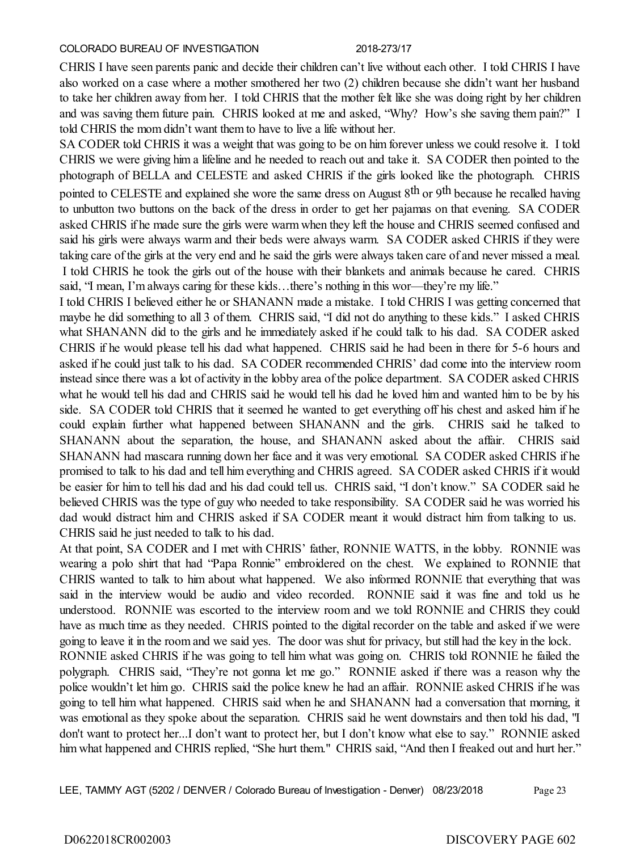CHRIS I have seen parents panic and decide their children can't live without each other. I told CHRIS I have also worked on a case where a mother smothered her two (2) children because she didn't want her husband to take her children away from her. I told CHRIS that the mother felt like she was doing right by her children and was saving them future pain. CHRIS looked at me and asked, "Why? How's she saving them pain?" I told CHRIS the mom didn't want them to have to live a life without her.

SA CODER told CHRIS it was a weight that was going to be on him forever unless we could resolve it. I told CHRIS we were giving him a lifeline and he needed to reach out and take it. SA CODER then pointed to the photograph of BELLA and CELESTE and asked CHRIS if the girls looked like the photograph. CHRIS pointed to CELESTE and explained she wore the same dress on August 8<sup>th</sup> or 9<sup>th</sup> because he recalled having to unbutton two buttons on the back of the dress in order to get her pajamas on that evening. SA CODER asked CHRIS if he made sure the girls were warm when they left the house and CHRIS seemed confused and said his girls were always warm and their beds were always warm. SA CODER asked CHRIS if they were taking care of the girls at the very end and he said the girls were always taken care of and never missed a meal. I told CHRIS he took the girls out of the house with their blankets and animals because he cared. CHRIS said, "I mean, I'm always caring for these kids…there's nothing in this wor—they're my life."

I told CHRIS I believed either he or SHANANN made a mistake. I told CHRIS I was getting concerned that maybe he did something to all 3 of them. CHRIS said, "I did not do anything to these kids." I asked CHRIS what SHANANN did to the girls and he immediately asked if he could talk to his dad. SA CODER asked CHRIS if he would please tell his dad what happened. CHRIS said he had been in there for 5-6 hours and asked if he could just talk to his dad. SA CODER recommended CHRIS' dad come into the interview room instead since there was a lot of activity in the lobby area of the police department. SA CODER asked CHRIS what he would tell his dad and CHRIS said he would tell his dad he loved him and wanted him to be by his side. SA CODER told CHRIS that it seemed he wanted to get everything off his chest and asked him if he could explain further what happened between SHANANN and the girls. CHRIS said he talked to SHANANN about the separation, the house, and SHANANN asked about the affair. CHRIS said SHANANN had mascara running down her face and it was very emotional. SA CODER asked CHRIS if he promised to talk to his dad and tell him everything and CHRIS agreed. SA CODER asked CHRIS if it would be easier for him to tell his dad and his dad could tell us. CHRIS said, "I don't know." SA CODER said he believed CHRIS was the type of guy who needed to take responsibility. SA CODER said he was worried his dad would distract him and CHRIS asked if SA CODER meant it would distract him from talking to us. CHRIS said he just needed to talk to his dad.

At that point, SA CODER and I met with CHRIS' father, RONNIE WATTS, in the lobby. RONNIE was wearing a polo shirt that had "Papa Ronnie" embroidered on the chest. We explained to RONNIE that CHRIS wanted to talk to him about what happened. We also informed RONNIE that everything that was said in the interview would be audio and video recorded. RONNIE said it was fine and told us he understood. RONNIE was escorted to the interview room and we told RONNIE and CHRIS they could have as much time as they needed. CHRIS pointed to the digital recorder on the table and asked if we were going to leave it in the room and we said yes. The door was shut for privacy, but still had the key in the lock.

RONNIE asked CHRIS if he was going to tell him what was going on. CHRIS told RONNIE he failed the polygraph. CHRIS said, "They're not gonna let me go." RONNIE asked if there was a reason why the police wouldn't let him go. CHRIS said the police knew he had an affair. RONNIE asked CHRIS if he was going to tell him what happened. CHRIS said when he and SHANANN had a conversation that morning, it was emotional as they spoke about the separation. CHRIS said he went downstairs and then told his dad, "I don't want to protect her...I don't want to protect her, but I don't know what else to say." RONNIE asked him what happened and CHRIS replied, "She hurt them." CHRIS said, "And then I freaked out and hurt her."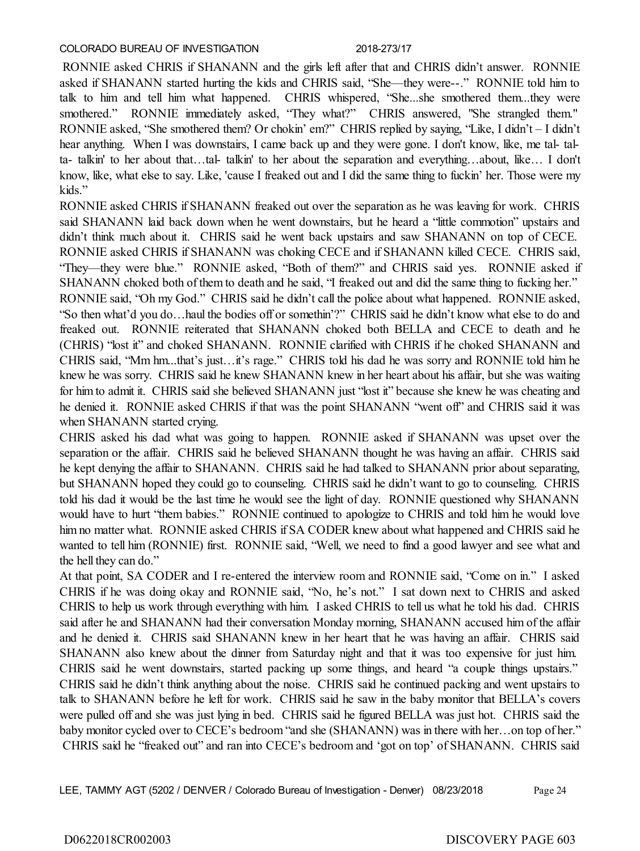RONNIE asked CHRIS if SHANANN and the girls left after that and CHRIS didn't answer. RONNIE asked if SHANANN started hurting the kids and CHRIS said, "She—they were--." RONNIE told him to talk to him and tell him what happened. CHRIS whispered, "She...she smothered them...they were smothered." RONNIE immediately asked, "They what?" CHRIS answered, "She strangled them." RONNIE asked, "She smothered them? Or chokin' em?" CHRIS replied by saying, "Like, I didn't – I didn't hear anything. When I was downstairs, I came back up and they were gone. I don't know, like, me tal- talta- talkin' to her about that…tal- talkin' to her about the separation and everything…about, like… I don't know, like, what else to say. Like, 'cause I freaked out and I did the same thing to fuckin' her. Those were my kids."

RONNIE asked CHRIS if SHANANN freaked out over the separation as he was leaving for work. CHRIS said SHANANN laid back down when he went downstairs, but he heard a "little commotion" upstairs and didn't think much about it. CHRIS said he went back upstairs and saw SHANANN on top of CECE. RONNIE asked CHRIS if SHANANN was choking CECE and if SHANANN killed CECE. CHRIS said, "They—they were blue." RONNIE asked, "Both of them?" and CHRIS said yes. RONNIE asked if SHANANN choked both of them to death and he said, "I freaked out and did the same thing to fucking her."

RONNIE said, "Oh my God." CHRIS said he didn't call the police about what happened. RONNIE asked, "So then what'd you do…haul the bodies off or somethin'?" CHRIS said he didn't know what else to do and freaked out. RONNIE reiterated that SHANANN choked both BELLA and CECE to death and he (CHRIS) "lost it" and choked SHANANN. RONNIE clarified with CHRIS if he choked SHANANN and CHRIS said, "Mm hm...that's just…it's rage." CHRIS told his dad he was sorry and RONNIE told him he knew he was sorry. CHRIS said he knew SHANANN knew in her heart about his affair, but she was waiting for him to admit it. CHRIS said she believed SHANANN just "lost it" because she knew he was cheating and he denied it. RONNIE asked CHRIS if that was the point SHANANN "went off" and CHRIS said it was when SHANANN started crying.

CHRIS asked his dad what was going to happen. RONNIE asked if SHANANN was upset over the separation or the affair. CHRIS said he believed SHANANN thought he was having an affair. CHRIS said he kept denying the affair to SHANANN. CHRIS said he had talked to SHANANN prior about separating, but SHANANN hoped they could go to counseling. CHRIS said he didn't want to go to counseling. CHRIS told his dad it would be the last time he would see the light of day. RONNIE questioned why SHANANN would have to hurt "them babies." RONNIE continued to apologize to CHRIS and told him he would love him no matter what. RONNIE asked CHRIS if SA CODER knew about what happened and CHRIS said he wanted to tell him (RONNIE) first. RONNIE said, "Well, we need to find a good lawyer and see what and the hell they can do."

At that point, SA CODER and I re-entered the interview room and RONNIE said, "Come on in." I asked CHRIS if he was doing okay and RONNIE said, "No, he's not." I sat down next to CHRIS and asked CHRIS to help us work through everything with him. I asked CHRIS to tell us what he told his dad. CHRIS said after he and SHANANN had their conversation Monday morning, SHANANN accused him of the affair and he denied it. CHRIS said SHANANN knew in her heart that he was having an affair. CHRIS said SHANANN also knew about the dinner from Saturday night and that it was too expensive for just him. CHRIS said he went downstairs, started packing up some things, and heard "a couple things upstairs." CHRIS said he didn't think anything about the noise. CHRIS said he continued packing and went upstairs to talk to SHANANN before he left for work. CHRIS said he saw in the baby monitor that BELLA's covers were pulled off and she was just lying in bed. CHRIS said he figured BELLA was just hot. CHRIS said the baby monitor cycled over to CECE's bedroom "and she (SHANANN) was in there with her...on top of her." CHRIS said he "freaked out" and ran into CECE's bedroom and 'got on top' of SHANANN. CHRIS said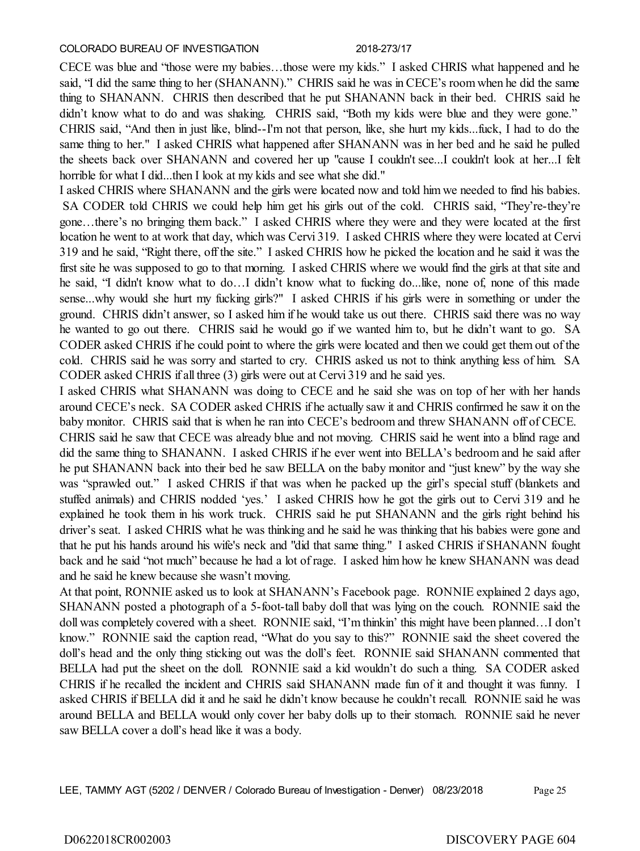CECE was blue and "those were my babies…those were my kids." I asked CHRIS what happened and he said, "I did the same thing to her (SHANANN)." CHRIS said he was in CECE's room when he did the same thing to SHANANN. CHRIS then described that he put SHANANN back in their bed. CHRIS said he didn't know what to do and was shaking. CHRIS said, "Both my kids were blue and they were gone." CHRIS said, "And then in just like, blind--I'm not that person, like, she hurt my kids...fuck, I had to do the same thing to her." I asked CHRIS what happened after SHANANN was in her bed and he said he pulled the sheets back over SHANANN and covered her up "cause I couldn't see...I couldn't look at her...I felt horrible for what I did...then I look at my kids and see what she did."

I asked CHRIS where SHANANN and the girls were located now and told him we needed to find his babies. SA CODER told CHRIS we could help him get his girls out of the cold. CHRIS said, "They're-they're gone…there's no bringing them back." I asked CHRIS where they were and they were located at the first location he went to at work that day, which was Cervi 319. I asked CHRIS where they were located at Cervi 319 and he said, "Right there, off the site." I asked CHRIS how he picked the location and he said it was the first site he was supposed to go to that morning. I asked CHRIS where we would find the girls at that site and he said, "I didn't know what to do…I didn't know what to fucking do...like, none of, none of this made sense...why would she hurt my fucking girls?" I asked CHRIS if his girls were in something or under the ground. CHRIS didn't answer, so I asked him if he would take us out there. CHRIS said there was no way he wanted to go out there. CHRIS said he would go if we wanted him to, but he didn't want to go. SA CODER asked CHRIS if he could point to where the girls were located and then we could get them out of the cold. CHRIS said he was sorry and started to cry. CHRIS asked us not to think anything less of him. SA CODER asked CHRIS if all three (3) girls were out at Cervi 319 and he said yes.

I asked CHRIS what SHANANN was doing to CECE and he said she was on top of her with her hands around CECE's neck. SA CODER asked CHRIS if he actually saw it and CHRIS confirmed he saw it on the baby monitor. CHRIS said that is when he ran into CECE's bedroom and threw SHANANN off of CECE.

CHRIS said he saw that CECE was already blue and not moving. CHRIS said he went into a blind rage and did the same thing to SHANANN. I asked CHRIS if he ever went into BELLA's bedroom and he said after he put SHANANN back into their bed he saw BELLA on the baby monitor and "just knew" by the way she was "sprawled out." I asked CHRIS if that was when he packed up the girl's special stuff (blankets and stuffed animals) and CHRIS nodded 'yes.' I asked CHRIS how he got the girls out to Cervi 319 and he explained he took them in his work truck. CHRIS said he put SHANANN and the girls right behind his driver's seat. I asked CHRIS what he was thinking and he said he was thinking that his babies were gone and that he put his hands around his wife's neck and "did that same thing." I asked CHRIS if SHANANN fought back and he said "not much" because he had a lot of rage. I asked him how he knew SHANANN was dead and he said he knew because she wasn't moving.

At that point, RONNIE asked us to look at SHANANN's Facebook page. RONNIE explained 2 days ago, SHANANN posted a photograph of a 5-foot-tall baby doll that was lying on the couch. RONNIE said the doll was completely covered with a sheet. RONNIE said, "I'm thinkin' this might have been planned…I don't know." RONNIE said the caption read, "What do you say to this?" RONNIE said the sheet covered the doll's head and the only thing sticking out was the doll's feet. RONNIE said SHANANN commented that BELLA had put the sheet on the doll. RONNIE said a kid wouldn't do such a thing. SA CODER asked CHRIS if he recalled the incident and CHRIS said SHANANN made fun of it and thought it was funny. I asked CHRIS if BELLA did it and he said he didn't know because he couldn't recall. RONNIE said he was around BELLA and BELLA would only cover her baby dolls up to their stomach. RONNIE said he never saw BELLA cover a doll's head like it was a body.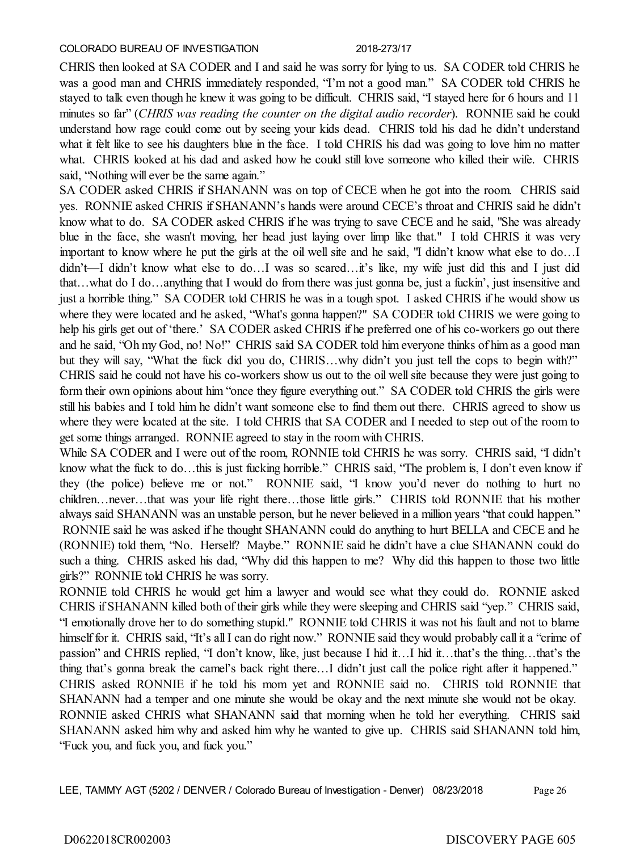CHRIS then looked at SA CODER and I and said he was sorry for lying to us. SA CODER told CHRIS he was a good man and CHRIS immediately responded, "I'm not a good man." SA CODER told CHRIS he stayed to talk even though he knew it was going to be difficult. CHRIS said, "I stayed here for 6 hours and 11 minutes so far" (*CHRIS was reading the counter on the digital audio recorder*). RONNIE said he could understand how rage could come out by seeing your kids dead. CHRIS told his dad he didn't understand what it felt like to see his daughters blue in the face. I told CHRIS his dad was going to love him no matter what. CHRIS looked at his dad and asked how he could still love someone who killed their wife. CHRIS said, "Nothing will ever be the same again."

SA CODER asked CHRIS if SHANANN was on top of CECE when he got into the room. CHRIS said yes. RONNIE asked CHRIS if SHANANN's hands were around CECE's throat and CHRIS said he didn't know what to do. SA CODER asked CHRIS if he was trying to save CECE and he said, "She was already blue in the face, she wasn't moving, her head just laying over limp like that." I told CHRIS it was very important to know where he put the girls at the oil well site and he said, "I didn't know what else to do…I didn't—I didn't know what else to do…I was so scared…it's like, my wife just did this and I just did that…what do I do…anything that I would do from there was just gonna be, just a fuckin', just insensitive and just a horrible thing." SA CODER told CHRIS he was in a tough spot. I asked CHRIS if he would show us where they were located and he asked, "What's gonna happen?" SA CODER told CHRIS we were going to help his girls get out of 'there.' SA CODER asked CHRIS if he preferred one of his co-workers go out there and he said, "Oh my God, no! No!" CHRIS said SA CODER told him everyone thinks of him as a good man but they will say, "What the fuck did you do, CHRIS…why didn't you just tell the cops to begin with?" CHRIS said he could not have his co-workers show us out to the oil well site because they were just going to form their own opinions about him "once they figure everything out." SA CODER told CHRIS the girls were still his babies and I told him he didn't want someone else to find them out there. CHRIS agreed to show us where they were located at the site. I told CHRIS that SA CODER and I needed to step out of the room to get some things arranged. RONNIE agreed to stay in the room with CHRIS.

While SA CODER and I were out of the room, RONNIE told CHRIS he was sorry. CHRIS said, "I didn't know what the fuck to do…this is just fucking horrible." CHRIS said, "The problem is, I don't even know if they (the police) believe me or not." RONNIE said, "I know you'd never do nothing to hurt no children…never…that was your life right there…those little girls." CHRIS told RONNIE that his mother always said SHANANN was an unstable person, but he never believed in a million years "that could happen." RONNIE said he was asked if he thought SHANANN could do anything to hurt BELLA and CECE and he (RONNIE) told them, "No. Herself? Maybe." RONNIE said he didn't have a clue SHANANN could do such a thing. CHRIS asked his dad, "Why did this happen to me? Why did this happen to those two little girls?" RONNIE told CHRIS he was sorry.

RONNIE told CHRIS he would get him a lawyer and would see what they could do. RONNIE asked CHRIS if SHANANN killed both of their girls while they were sleeping and CHRIS said "yep." CHRIS said, "I emotionally drove her to do something stupid." RONNIE told CHRIS it was not his fault and not to blame himself for it. CHRIS said, "It's all I can do right now." RONNIE said they would probably call it a "crime of passion" and CHRIS replied, "I don't know, like, just because I hid it…I hid it…that's the thing…that's the thing that's gonna break the camel's back right there…I didn't just call the police right after it happened." CHRIS asked RONNIE if he told his mom yet and RONNIE said no. CHRIS told RONNIE that SHANANN had a temper and one minute she would be okay and the next minute she would not be okay. RONNIE asked CHRIS what SHANANN said that morning when he told her everything. CHRIS said SHANANN asked him why and asked him why he wanted to give up. CHRIS said SHANANN told him, "Fuck you, and fuck you, and fuck you."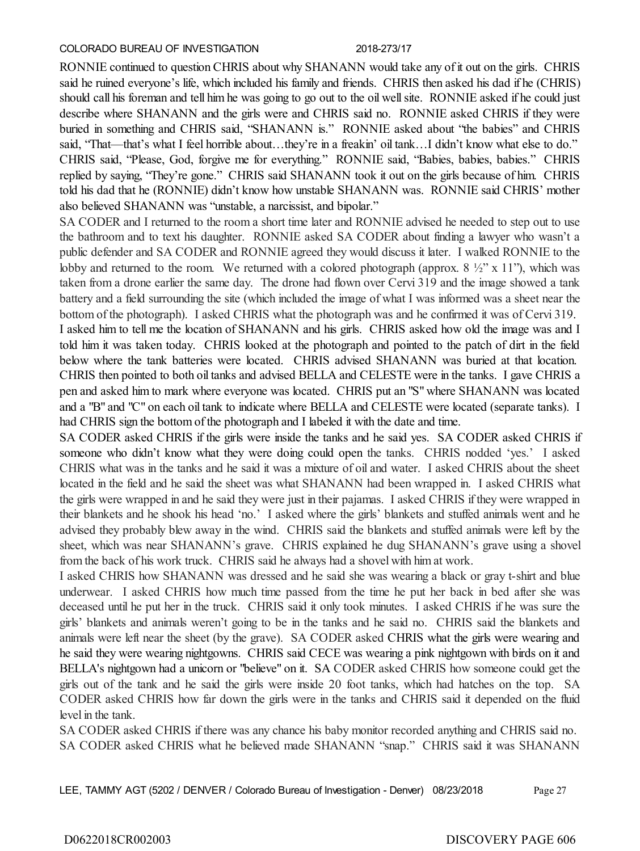RONNIE continued to question CHRIS about why SHANANN would take any of it out on the girls. CHRIS said he ruined everyone's life, which included his family and friends. CHRIS then asked his dad if he (CHRIS) should call his foreman and tell him he was going to go out to the oil well site. RONNIE asked if he could just describe where SHANANN and the girls were and CHRIS said no. RONNIE asked CHRIS if they were buried in something and CHRIS said, "SHANANN is." RONNIE asked about "the babies" and CHRIS said, "That—that's what I feel horrible about…they're in a freakin' oil tank…I didn't know what else to do." CHRIS said, "Please, God, forgive me for everything." RONNIE said, "Babies, babies, babies." CHRIS replied by saying, "They're gone." CHRIS said SHANANN took it out on the girls because of him. CHRIS told his dad that he (RONNIE) didn't know how unstable SHANANN was. RONNIE said CHRIS' mother also believed SHANANN was "unstable, a narcissist, and bipolar."

SA CODER and I returned to the room a short time later and RONNIE advised he needed to step out to use the bathroom and to text his daughter. RONNIE asked SA CODER about finding a lawyer who wasn't a public defender and SA CODER and RONNIE agreed they would discuss it later. I walked RONNIE to the lobby and returned to the room. We returned with a colored photograph (approx.  $8\frac{1}{2}$ " x 11"), which was taken from a drone earlier the same day. The drone had flown over Cervi 319 and the image showed a tank battery and a field surrounding the site (which included the image of what I was informed was a sheet near the bottom of the photograph). I asked CHRIS what the photograph was and he confirmed it was of Cervi 319.

I asked him to tell me the location of SHANANN and his girls. CHRIS asked how old the image was and I told him it was taken today. CHRIS looked at the photograph and pointed to the patch of dirt in the field below where the tank batteries were located. CHRIS advised SHANANN was buried at that location. CHRIS then pointed to both oil tanks and advised BELLA and CELESTE were in the tanks. I gave CHRIS a pen and asked him to mark where everyone was located. CHRIS put an "S" where SHANANN was located and a "B" and "C" on each oil tank to indicate where BELLA and CELESTE were located (separate tanks). I had CHRIS sign the bottom of the photograph and I labeled it with the date and time.

SA CODER asked CHRIS if the girls were inside the tanks and he said yes. SA CODER asked CHRIS if someone who didn't know what they were doing could open the tanks. CHRIS nodded 'yes.' I asked CHRIS what was in the tanks and he said it was a mixture of oil and water. I asked CHRIS about the sheet located in the field and he said the sheet was what SHANANN had been wrapped in. I asked CHRIS what the girls were wrapped in and he said they were just in their pajamas. I asked CHRIS if they were wrapped in their blankets and he shook his head 'no.' I asked where the girls' blankets and stuffed animals went and he advised they probably blew away in the wind. CHRIS said the blankets and stuffed animals were left by the sheet, which was near SHANANN's grave. CHRIS explained he dug SHANANN's grave using a shovel from the back of his work truck. CHRIS said he always had a shovel with him at work.

I asked CHRIS how SHANANN was dressed and he said she was wearing a black or gray t-shirt and blue underwear. I asked CHRIS how much time passed from the time he put her back in bed after she was deceased until he put her in the truck. CHRIS said it only took minutes. I asked CHRIS if he was sure the girls' blankets and animals weren't going to be in the tanks and he said no. CHRIS said the blankets and animals were left near the sheet (by the grave). SA CODER asked CHRIS what the girls were wearing and he said they were wearing nightgowns. CHRIS said CECE was wearing a pink nightgown with birds on it and BELLA's nightgown had a unicorn or "believe" on it. SA CODER asked CHRIS how someone could get the girls out of the tank and he said the girls were inside 20 foot tanks, which had hatches on the top. SA CODER asked CHRIS how far down the girls were in the tanks and CHRIS said it depended on the fluid level in the tank.

SA CODER asked CHRIS if there was any chance his baby monitor recorded anything and CHRIS said no. SA CODER asked CHRIS what he believed made SHANANN "snap." CHRIS said it was SHANANN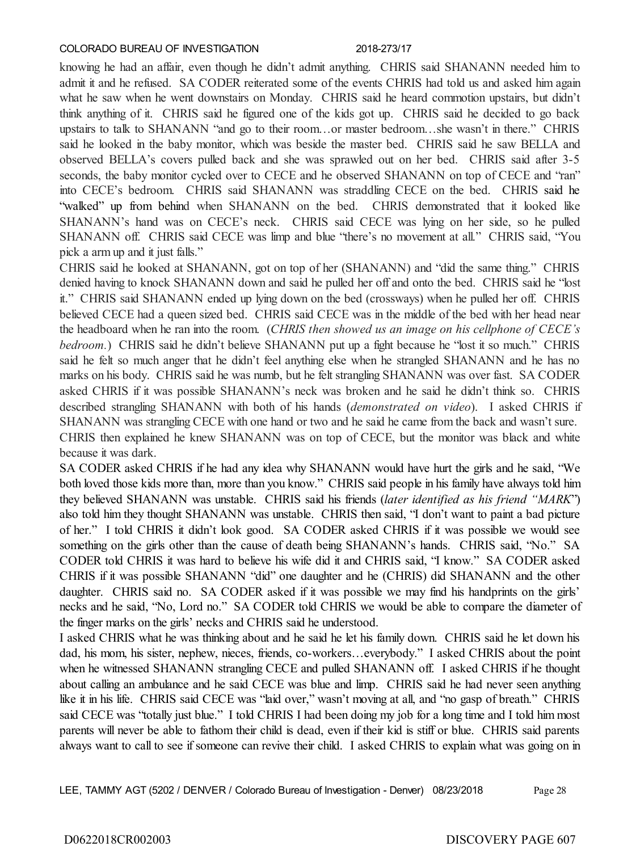knowing he had an affair, even though he didn't admit anything. CHRIS said SHANANN needed him to admit it and he refused. SA CODER reiterated some of the events CHRIS had told us and asked him again what he saw when he went downstairs on Monday. CHRIS said he heard commotion upstairs, but didn't think anything of it. CHRIS said he figured one of the kids got up. CHRIS said he decided to go back upstairs to talk to SHANANN "and go to their room…or master bedroom…she wasn't in there." CHRIS said he looked in the baby monitor, which was beside the master bed. CHRIS said he saw BELLA and observed BELLA's covers pulled back and she was sprawled out on her bed. CHRIS said after 3-5 seconds, the baby monitor cycled over to CECE and he observed SHANANN on top of CECE and "ran" into CECE's bedroom. CHRIS said SHANANN was straddling CECE on the bed. CHRIS said he "walked" up from behind when SHANANN on the bed. CHRIS demonstrated that it looked like SHANANN's hand was on CECE's neck. CHRIS said CECE was lying on her side, so he pulled SHANANN off. CHRIS said CECE was limp and blue "there's no movement at all." CHRIS said, "You pick a arm up and it just falls."

CHRIS said he looked at SHANANN, got on top of her (SHANANN) and "did the same thing." CHRIS denied having to knock SHANANN down and said he pulled her off and onto the bed. CHRIS said he "lost it." CHRIS said SHANANN ended up lying down on the bed (crossways) when he pulled her off. CHRIS believed CECE had a queen sized bed. CHRIS said CECE was in the middle of the bed with her head near the headboard when he ran into the room. (*CHRIS then showed us an image on his cellphone of CECE's bedroom.*) CHRIS said he didn't believe SHANANN put up a fight because he "lost it so much." CHRIS said he felt so much anger that he didn't feel anything else when he strangled SHANANN and he has no marks on his body. CHRIS said he was numb, but he felt strangling SHANANN was over fast. SA CODER asked CHRIS if it was possible SHANANN's neck was broken and he said he didn't think so. CHRIS described strangling SHANANN with both of his hands (*demonstrated on video*). I asked CHRIS if SHANANN was strangling CECE with one hand or two and he said he came from the back and wasn't sure. CHRIS then explained he knew SHANANN was on top of CECE, but the monitor was black and white because it was dark.

SA CODER asked CHRIS if he had any idea why SHANANN would have hurt the girls and he said, "We both loved those kids more than, more than you know." CHRIS said people in his family have always told him they believed SHANANN was unstable. CHRIS said his friends (*later identified as his friend "MARK*") also told him they thought SHANANN was unstable. CHRIS then said, "I don't want to paint a bad picture of her." I told CHRIS it didn't look good. SA CODER asked CHRIS if it was possible we would see something on the girls other than the cause of death being SHANANN's hands. CHRIS said, "No." SA CODER told CHRIS it was hard to believe his wife did it and CHRIS said, "I know." SA CODER asked CHRIS if it was possible SHANANN "did" one daughter and he (CHRIS) did SHANANN and the other daughter. CHRIS said no. SA CODER asked if it was possible we may find his handprints on the girls' necks and he said, "No, Lord no." SA CODER told CHRIS we would be able to compare the diameter of the finger marks on the girls' necks and CHRIS said he understood.

I asked CHRIS what he was thinking about and he said he let his family down. CHRIS said he let down his dad, his mom, his sister, nephew, nieces, friends, co-workers…everybody." I asked CHRIS about the point when he witnessed SHANANN strangling CECE and pulled SHANANN off. I asked CHRIS if he thought about calling an ambulance and he said CECE was blue and limp. CHRIS said he had never seen anything like it in his life. CHRIS said CECE was "laid over," wasn't moving at all, and "no gasp of breath." CHRIS said CECE was "totally just blue." I told CHRIS I had been doing my job for a long time and I told him most parents will never be able to fathom their child is dead, even if their kid is stiff or blue. CHRIS said parents always want to call to see if someone can revive their child. I asked CHRIS to explain what was going on in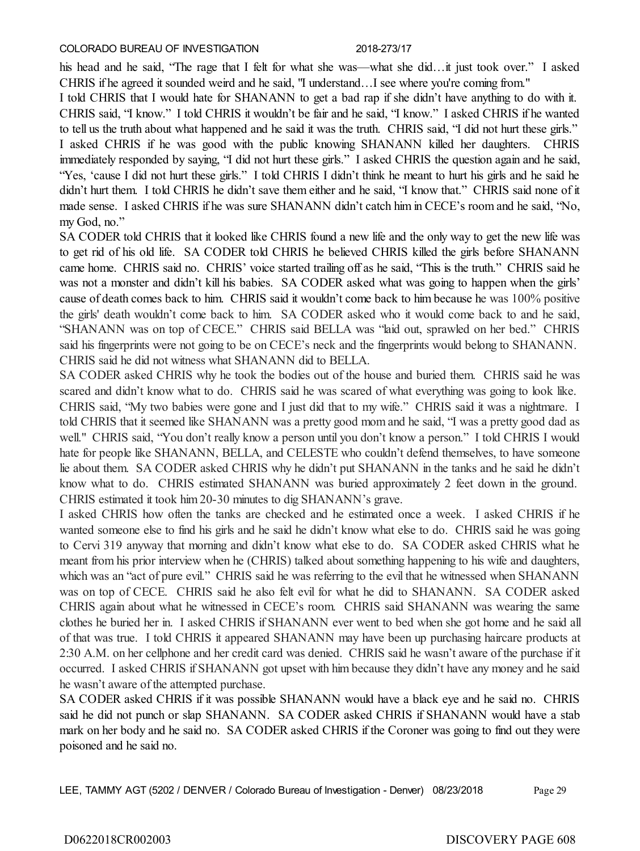his head and he said, "The rage that I felt for what she was—what she did…it just took over." I asked CHRIS if he agreed it sounded weird and he said, "I understand…I see where you're coming from."

I told CHRIS that I would hate for SHANANN to get a bad rap if she didn't have anything to do with it. CHRIS said, "I know." I told CHRIS it wouldn't be fair and he said, "I know." I asked CHRIS if he wanted to tell us the truth about what happened and he said it was the truth. CHRIS said, "I did not hurt these girls." I asked CHRIS if he was good with the public knowing SHANANN killed her daughters. CHRIS immediately responded by saying, "I did not hurt these girls." I asked CHRIS the question again and he said, "Yes, 'cause I did not hurt these girls." I told CHRIS I didn't think he meant to hurt his girls and he said he didn't hurt them. I told CHRIS he didn't save them either and he said, "I know that." CHRIS said none of it made sense. I asked CHRIS if he was sure SHANANN didn't catch him in CECE's room and he said, "No, my God, no."

SA CODER told CHRIS that it looked like CHRIS found a new life and the only way to get the new life was to get rid of his old life. SA CODER told CHRIS he believed CHRIS killed the girls before SHANANN came home. CHRIS said no. CHRIS' voice started trailing off as he said, "This is the truth." CHRIS said he was not a monster and didn't kill his babies. SA CODER asked what was going to happen when the girls' cause of death comes back to him. CHRIS said it wouldn't come back to him because he was 100% positive the girls' death wouldn't come back to him. SA CODER asked who it would come back to and he said, "SHANANN was on top of CECE." CHRIS said BELLA was "laid out, sprawled on her bed." CHRIS said his fingerprints were not going to be on CECE's neck and the fingerprints would belong to SHANANN. CHRIS said he did not witness what SHANANN did to BELLA.

SA CODER asked CHRIS why he took the bodies out of the house and buried them. CHRIS said he was scared and didn't know what to do. CHRIS said he was scared of what everything was going to look like. CHRIS said, "My two babies were gone and I just did that to my wife." CHRIS said it was a nightmare. I told CHRIS that it seemed like SHANANN was a pretty good mom and he said, "I was a pretty good dad as well." CHRIS said, "You don't really know a person until you don't know a person." I told CHRIS I would hate for people like SHANANN, BELLA, and CELESTE who couldn't defend themselves, to have someone lie about them. SA CODER asked CHRIS why he didn't put SHANANN in the tanks and he said he didn't know what to do. CHRIS estimated SHANANN was buried approximately 2 feet down in the ground. CHRIS estimated it took him 20-30 minutes to dig SHANANN's grave.

I asked CHRIS how often the tanks are checked and he estimated once a week. I asked CHRIS if he wanted someone else to find his girls and he said he didn't know what else to do. CHRIS said he was going to Cervi 319 anyway that morning and didn't know what else to do. SA CODER asked CHRIS what he meant from his prior interview when he (CHRIS) talked about something happening to his wife and daughters, which was an "act of pure evil." CHRIS said he was referring to the evil that he witnessed when SHANANN was on top of CECE. CHRIS said he also felt evil for what he did to SHANANN. SA CODER asked CHRIS again about what he witnessed in CECE's room. CHRIS said SHANANN was wearing the same clothes he buried her in. I asked CHRIS if SHANANN ever went to bed when she got home and he said all of that was true. I told CHRIS it appeared SHANANN may have been up purchasing haircare products at 2:30 A.M. on her cellphone and her credit card was denied. CHRIS said he wasn't aware of the purchase if it occurred. I asked CHRIS if SHANANN got upset with him because they didn't have any money and he said he wasn't aware of the attempted purchase.

SA CODER asked CHRIS if it was possible SHANANN would have a black eye and he said no. CHRIS said he did not punch or slap SHANANN. SA CODER asked CHRIS if SHANANN would have a stab mark on her body and he said no. SA CODER asked CHRIS if the Coroner was going to find out they were poisoned and he said no.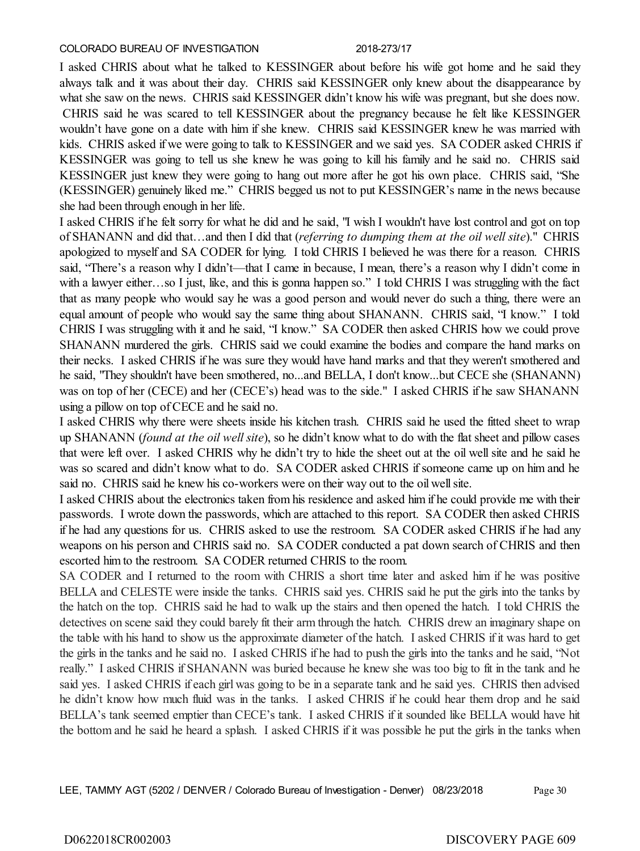I asked CHRIS about what he talked to KESSINGER about before his wife got home and he said they always talk and it was about their day. CHRIS said KESSINGER only knew about the disappearance by what she saw on the news. CHRIS said KESSINGER didn't know his wife was pregnant, but she does now. CHRIS said he was scared to tell KESSINGER about the pregnancy because he felt like KESSINGER wouldn't have gone on a date with him if she knew. CHRIS said KESSINGER knew he was married with kids. CHRIS asked if we were going to talk to KESSINGER and we said yes. SA CODER asked CHRIS if KESSINGER was going to tell us she knew he was going to kill his family and he said no. CHRIS said KESSINGER just knew they were going to hang out more after he got his own place. CHRIS said, "She (KESSINGER) genuinely liked me." CHRIS begged us not to put KESSINGER's name in the news because she had been through enough in her life.

I asked CHRIS if he felt sorry for what he did and he said, "I wish I wouldn't have lost control and got on top of SHANANN and did that…and then I did that (*referring to dumping them at the oil well site*)." CHRIS apologized to myself and SA CODER for lying. I told CHRIS I believed he was there for a reason. CHRIS said, "There's a reason why I didn't—that I came in because, I mean, there's a reason why I didn't come in with a lawyer either...so I just, like, and this is gonna happen so." I told CHRIS I was struggling with the fact that as many people who would say he was a good person and would never do such a thing, there were an equal amount of people who would say the same thing about SHANANN. CHRIS said, "I know." I told CHRIS I was struggling with it and he said, "I know." SA CODER then asked CHRIS how we could prove SHANANN murdered the girls. CHRIS said we could examine the bodies and compare the hand marks on their necks. I asked CHRIS if he was sure they would have hand marks and that they weren't smothered and he said, "They shouldn't have been smothered, no...and BELLA, I don't know...but CECE she (SHANANN) was on top of her (CECE) and her (CECE's) head was to the side." I asked CHRIS if he saw SHANANN using a pillow on top of CECE and he said no.

I asked CHRIS why there were sheets inside his kitchen trash. CHRIS said he used the fitted sheet to wrap up SHANANN (*found at the oil well site*), so he didn't know what to do with the flat sheet and pillow cases that were left over. I asked CHRIS why he didn't try to hide the sheet out at the oil well site and he said he was so scared and didn't know what to do. SA CODER asked CHRIS if someone came up on him and he said no. CHRIS said he knew his co-workers were on their way out to the oil well site.

I asked CHRIS about the electronics taken from his residence and asked him if he could provide me with their passwords. I wrote down the passwords, which are attached to this report. SA CODER then asked CHRIS if he had any questions for us. CHRIS asked to use the restroom. SA CODER asked CHRIS if he had any weapons on his person and CHRIS said no. SA CODER conducted a pat down search of CHRIS and then escorted him to the restroom. SA CODER returned CHRIS to the room.

SA CODER and I returned to the room with CHRIS a short time later and asked him if he was positive BELLA and CELESTE were inside the tanks. CHRIS said yes. CHRIS said he put the girls into the tanks by the hatch on the top. CHRIS said he had to walk up the stairs and then opened the hatch. I told CHRIS the detectives on scene said they could barely fit their arm through the hatch. CHRIS drew an imaginary shape on the table with his hand to show us the approximate diameter of the hatch. I asked CHRIS if it was hard to get the girls in the tanks and he said no. I asked CHRIS if he had to push the girls into the tanks and he said, "Not really." I asked CHRIS if SHANANN was buried because he knew she was too big to fit in the tank and he said yes. I asked CHRIS if each girl was going to be in a separate tank and he said yes. CHRIS then advised he didn't know how much fluid was in the tanks. I asked CHRIS if he could hear them drop and he said BELLA's tank seemed emptier than CECE's tank. I asked CHRIS if it sounded like BELLA would have hit the bottom and he said he heard a splash. I asked CHRIS if it was possible he put the girls in the tanks when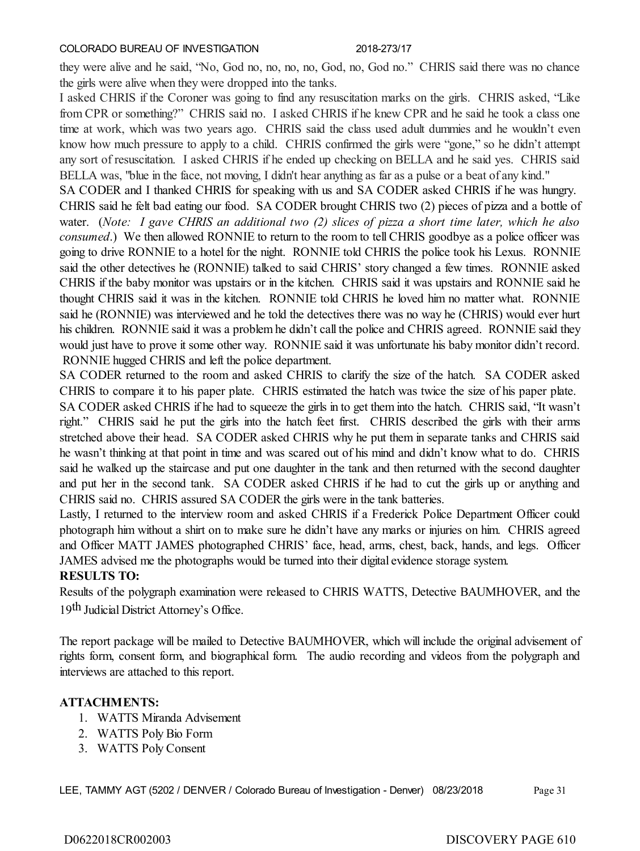they were alive and he said, "No, God no, no, no, no, God, no, God no." CHRIS said there was no chance the girls were alive when they were dropped into the tanks.

I asked CHRIS if the Coroner was going to find any resuscitation marks on the girls. CHRIS asked, "Like from CPR or something?" CHRIS said no. I asked CHRIS if he knew CPR and he said he took a class one time at work, which was two years ago. CHRIS said the class used adult dummies and he wouldn't even know how much pressure to apply to a child. CHRIS confirmed the girls were "gone," so he didn't attempt any sort of resuscitation. I asked CHRIS if he ended up checking on BELLA and he said yes. CHRIS said BELLA was, "blue in the face, not moving, I didn't hear anything as far as a pulse or a beat of any kind."

SA CODER and I thanked CHRIS for speaking with us and SA CODER asked CHRIS if he was hungry. CHRIS said he felt bad eating our food. SA CODER brought CHRIS two (2) pieces of pizza and a bottle of water. (*Note: I gave CHRIS an additional two (2) slices of pizza a short time later, which he also consumed*.) We then allowed RONNIE to return to the room to tell CHRIS goodbye as a police officer was going to drive RONNIE to a hotel for the night. RONNIE told CHRIS the police took his Lexus. RONNIE said the other detectives he (RONNIE) talked to said CHRIS' story changed a few times. RONNIE asked CHRIS if the baby monitor was upstairs or in the kitchen. CHRIS said it was upstairs and RONNIE said he thought CHRIS said it was in the kitchen. RONNIE told CHRIS he loved him no matter what. RONNIE said he (RONNIE) was interviewed and he told the detectives there was no way he (CHRIS) would ever hurt his children. RONNIE said it was a problem he didn't call the police and CHRIS agreed. RONNIE said they would just have to prove it some other way. RONNIE said it was unfortunate his baby monitor didn't record. RONNIE hugged CHRIS and left the police department.

SA CODER returned to the room and asked CHRIS to clarify the size of the hatch. SA CODER asked CHRIS to compare it to his paper plate. CHRIS estimated the hatch was twice the size of his paper plate.

SA CODER asked CHRIS if he had to squeeze the girls in to get them into the hatch. CHRIS said, "It wasn't right." CHRIS said he put the girls into the hatch feet first. CHRIS described the girls with their arms stretched above their head. SA CODER asked CHRIS why he put them in separate tanks and CHRIS said he wasn't thinking at that point in time and was scared out of his mind and didn't know what to do. CHRIS said he walked up the staircase and put one daughter in the tank and then returned with the second daughter and put her in the second tank. SA CODER asked CHRIS if he had to cut the girls up or anything and CHRIS said no. CHRIS assured SA CODER the girls were in the tank batteries.

Lastly, I returned to the interview room and asked CHRIS if a Frederick Police Department Officer could photograph him without a shirt on to make sure he didn't have any marks or injuries on him. CHRIS agreed and Officer MATT JAMES photographed CHRIS' face, head, arms, chest, back, hands, and legs. Officer JAMES advised me the photographs would be turned into their digital evidence storage system.

# **RESULTS TO:**

Results of the polygraph examination were released to CHRIS WATTS, Detective BAUMHOVER, and the 19th Judicial District Attorney's Office.

The report package will be mailed to Detective BAUMHOVER, which will include the original advisement of rights form, consent form, and biographical form. The audio recording and videos from the polygraph and interviews are attached to this report.

# **ATTACHMENTS:**

- 1. WATTS Miranda Advisement
- 2. WATTS Poly Bio Form
- 3. WATTS Poly Consent